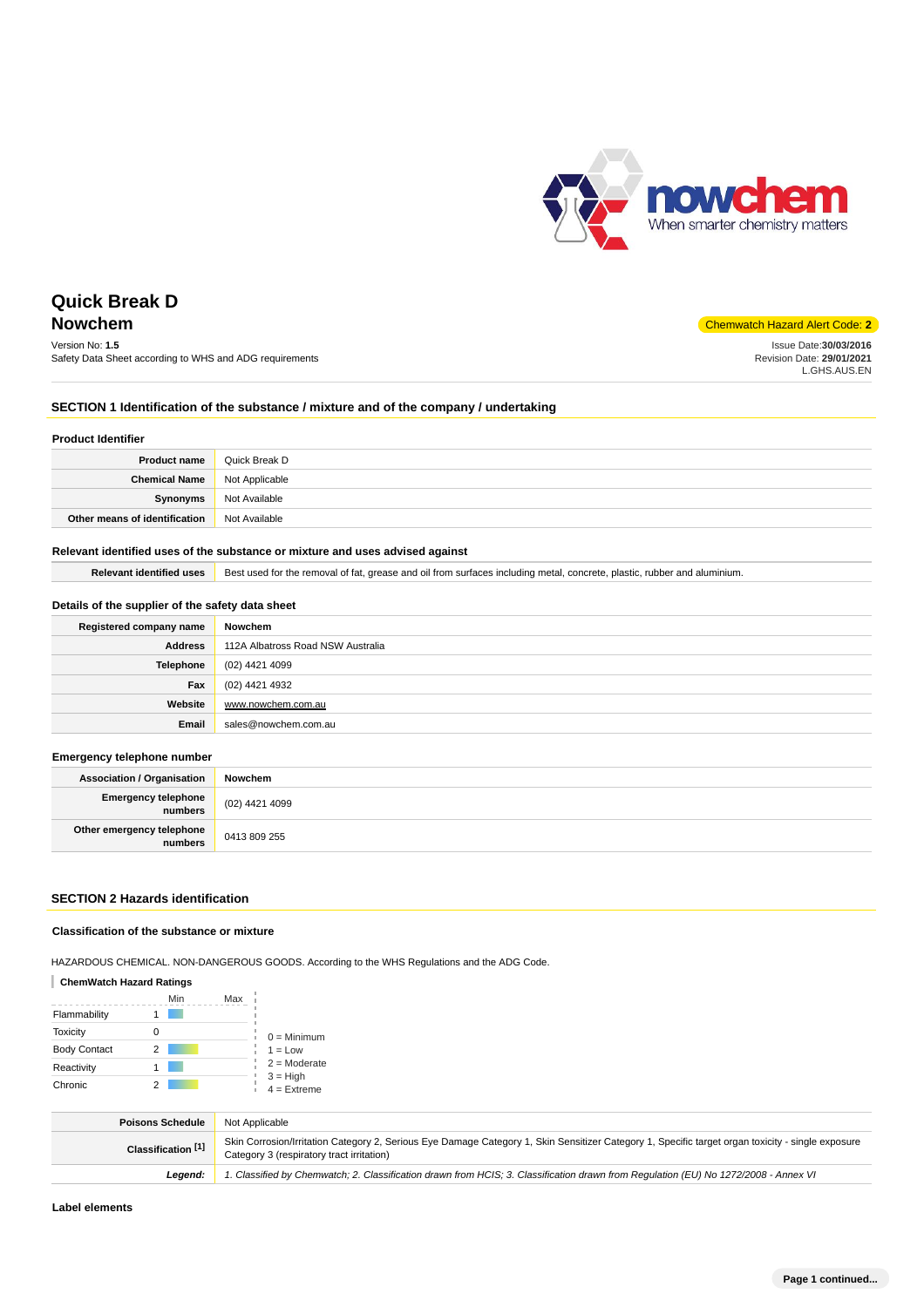

Issue Date:**30/03/2016** Revision Date: **29/01/2021** L.GHS.AUS.EN

# **Quick Break D Nowchem** Chemwatch Hazard Alert Code: **2**

Version No: **1.5** Safety Data Sheet according to WHS and ADG requirements

## **SECTION 1 Identification of the substance / mixture and of the company / undertaking**

#### **Product Identifier**

| <b>Product name</b>           | Quick Break D  |
|-------------------------------|----------------|
| <b>Chemical Name</b>          | Not Applicable |
| Synonyms                      | Not Available  |
| Other means of identification | Not Available  |

## **Relevant identified uses of the substance or mixture and uses advised against**

Relevant identified uses **B**est used for the removal of fat, grease and oil from surfaces including metal, concrete, plastic, rubber and aluminium.

## **Details of the supplier of the safety data sheet**

| Registered company name | Nowchem                           |
|-------------------------|-----------------------------------|
| <b>Address</b>          | 112A Albatross Road NSW Australia |
| Telephone               | (02) 4421 4099                    |
| Fax                     | (02) 4421 4932                    |
| Website                 | www.nowchem.com.au                |
| Email                   | sales@nowchem.com.au              |

#### **Emergency telephone number**

| <b>Association / Organisation</b>    | Nowchem        |
|--------------------------------------|----------------|
| Emergency telephone<br>numbers       | (02) 4421 4099 |
| Other emergency telephone<br>numbers | 0413 809 255   |

## **SECTION 2 Hazards identification**

#### **Classification of the substance or mixture**

HAZARDOUS CHEMICAL. NON-DANGEROUS GOODS. According to the WHS Regulations and the ADG Code.

## **ChemWatch Hazard Ratings**

|                     | Min | Max |                             |
|---------------------|-----|-----|-----------------------------|
| Flammability        |     |     |                             |
| <b>Toxicity</b>     | 0   |     | $0 =$ Minimum               |
| <b>Body Contact</b> | 2   |     | $1 = Low$                   |
| Reactivity          |     |     | $2 =$ Moderate              |
| Chronic             |     |     | $3 = High$<br>$4 =$ Extreme |

| <b>Poisons Schedule</b> | Not Applicable                                                                                                                                                                                 |
|-------------------------|------------------------------------------------------------------------------------------------------------------------------------------------------------------------------------------------|
| Classification [1]      | Skin Corrosion/Irritation Category 2, Serious Eye Damage Category 1, Skin Sensitizer Category 1, Specific target organ toxicity - single exposure<br>Category 3 (respiratory tract irritation) |
| Leaend:                 | 1. Classified by Chemwatch; 2. Classification drawn from HCIS; 3. Classification drawn from Regulation (EU) No 1272/2008 - Annex VI                                                            |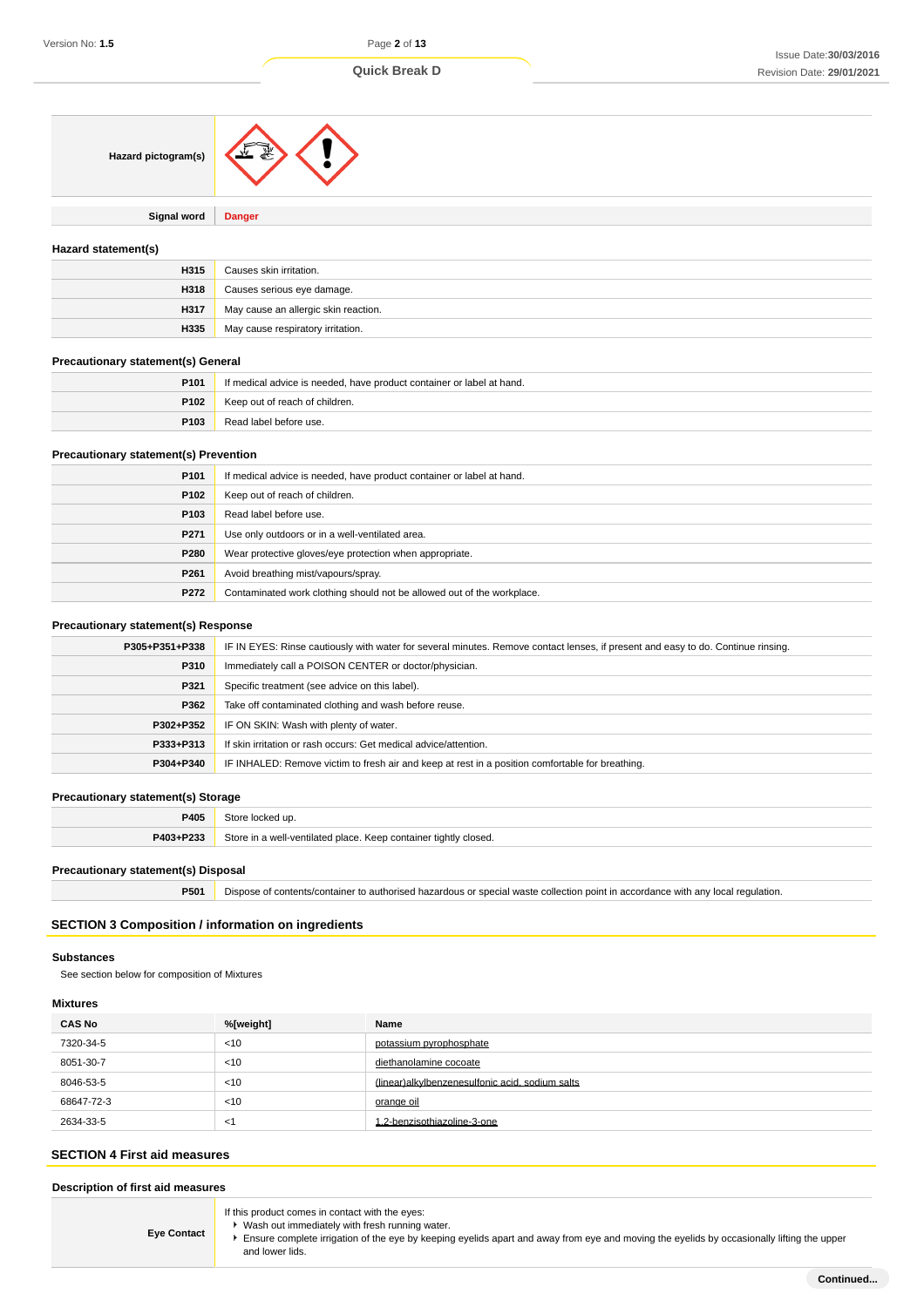| Hazard pictogram(s)                       |                                                                       |  |
|-------------------------------------------|-----------------------------------------------------------------------|--|
| Signal word                               | <b>Danger</b>                                                         |  |
| Hazard statement(s)                       |                                                                       |  |
| H315                                      | Causes skin irritation.                                               |  |
| H318                                      | Causes serious eye damage.                                            |  |
| H317                                      | May cause an allergic skin reaction.                                  |  |
| H335                                      | May cause respiratory irritation.                                     |  |
| <b>Precautionary statement(s) General</b> |                                                                       |  |
| P101                                      | If medical advice is needed, have product container or label at hand. |  |
| P102                                      | Keep out of reach of children.                                        |  |
| P103                                      | Read label before use.                                                |  |
| Precautionary statement(s) Prevention     |                                                                       |  |
| P101                                      | If medical advice is needed, have product container or label at hand. |  |
| P102                                      | Keep out of reach of children.                                        |  |
| P103                                      | Read label before use.                                                |  |
| P271                                      | Use only outdoors or in a well-ventilated area.                       |  |
| P280                                      | Wear protective gloves/eye protection when appropriate.               |  |

## **Precautionary statement(s) Response**

**P261** Avoid breathing mist/vapours/spray.

**P272** Contaminated work clothing should not be allowed out of the workplace.

| P305+P351+P338 | IF IN EYES: Rinse cautiously with water for several minutes. Remove contact lenses, if present and easy to do. Continue rinsing. |  |
|----------------|----------------------------------------------------------------------------------------------------------------------------------|--|
| P310           | Immediately call a POISON CENTER or doctor/physician.                                                                            |  |
| P321           | Specific treatment (see advice on this label).                                                                                   |  |
| P362           | Take off contaminated clothing and wash before reuse.                                                                            |  |
| P302+P352      | IF ON SKIN: Wash with plenty of water.                                                                                           |  |
| P333+P313      | If skin irritation or rash occurs: Get medical advice/attention.                                                                 |  |
| P304+P340      | IF INHALED: Remove victim to fresh air and keep at rest in a position comfortable for breathing.                                 |  |
|                |                                                                                                                                  |  |

### **Precautionary statement(s) Storage**

| P405      | ∕`t∩r<br>Tocked up.                                              |
|-----------|------------------------------------------------------------------|
| P403+P233 | Store in a well-ventilated place. Keep container tightly closed. |

## **Precautionary statement(s) Disposal**

**P501** Dispose of contents/container to authorised hazardous or special waste collection point in accordance with any local regulation.

# **SECTION 3 Composition / information on ingredients**

#### **Substances**

See section below for composition of Mixtures

## **Mixtures**

| <b>CAS No</b> | %[weight] | Name                                            |
|---------------|-----------|-------------------------------------------------|
| 7320-34-5     | < 10      | potassium pyrophosphate                         |
| 8051-30-7     | < 10      | diethanolamine cocoate                          |
| 8046-53-5     | < 10      | (linear)alkylbenzenesulfonic acid, sodium salts |
| 68647-72-3    | < 10      | orange oil                                      |
| 2634-33-5     | <1        | 1,2-benzisothiazoline-3-one                     |

## **SECTION 4 First aid measures**

## **Description of first aid measures**

**Eye Contact**

If this product comes in contact with the eyes:

- Wash out immediately with fresh running water.
- Ensure complete irrigation of the eye by keeping eyelids apart and away from eye and moving the eyelids by occasionally lifting the upper and lower lids.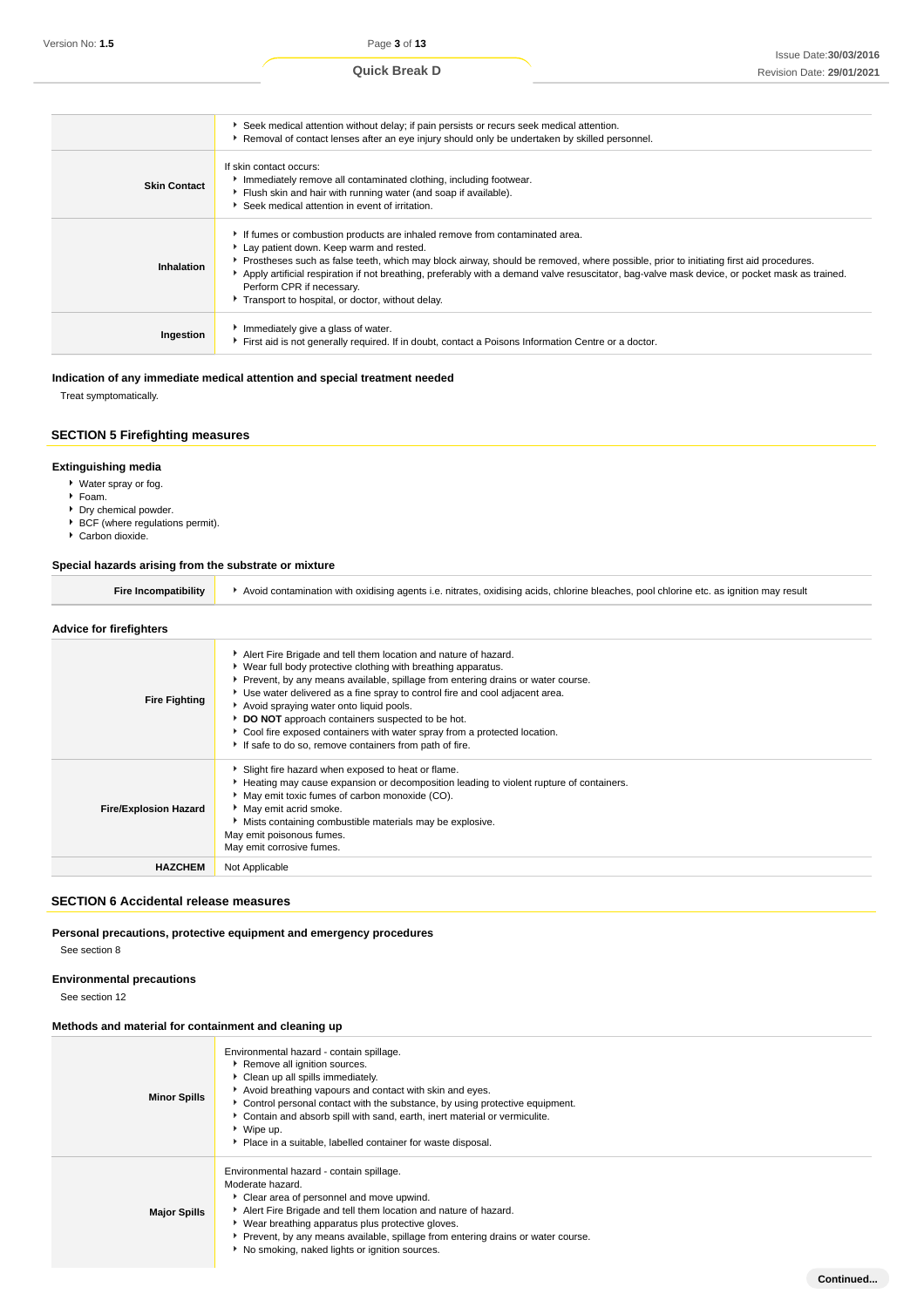**Continued...**

|                     | Seek medical attention without delay; if pain persists or recurs seek medical attention.<br>Removal of contact lenses after an eye injury should only be undertaken by skilled personnel.                                                                                                                                                                                                                                                                                                       |
|---------------------|-------------------------------------------------------------------------------------------------------------------------------------------------------------------------------------------------------------------------------------------------------------------------------------------------------------------------------------------------------------------------------------------------------------------------------------------------------------------------------------------------|
| <b>Skin Contact</b> | If skin contact occurs:<br>Immediately remove all contaminated clothing, including footwear.<br>Flush skin and hair with running water (and soap if available).<br>Seek medical attention in event of irritation.                                                                                                                                                                                                                                                                               |
| Inhalation          | If fumes or combustion products are inhaled remove from contaminated area.<br>Lay patient down. Keep warm and rested.<br>Prostheses such as false teeth, which may block airway, should be removed, where possible, prior to initiating first aid procedures.<br>Apply artificial respiration if not breathing, preferably with a demand valve resuscitator, bag-valve mask device, or pocket mask as trained.<br>Perform CPR if necessary.<br>Transport to hospital, or doctor, without delay. |
| Ingestion           | Immediately give a glass of water.<br>First aid is not generally required. If in doubt, contact a Poisons Information Centre or a doctor.                                                                                                                                                                                                                                                                                                                                                       |

# **Indication of any immediate medical attention and special treatment needed**

Treat symptomatically.

## **SECTION 5 Firefighting measures**

## **Extinguishing media**

- Water spray or fog.
- Foam.
- **Dry chemical powder.**
- ▶ BCF (where regulations permit).

# ▶ Carbon dioxide.

#### **Special hazards arising from the substrate or mixture**

| Fire Incompatibility | Avoid contamination with oxidising agents i.e. nitrates, oxidising acids, chlorine bleaches, pool chlorine etc, as ignition may result |
|----------------------|----------------------------------------------------------------------------------------------------------------------------------------|
|                      |                                                                                                                                        |

#### **Advice for firefighters Fire Fighting** Alert Fire Brigade and tell them location and nature of hazard. ▶ Wear full body protective clothing with breathing apparatus. Prevent, by any means available, spillage from entering drains or water course. Use water delivered as a fine spray to control fire and cool adjacent area. Avoid spraying water onto liquid pools. **DO NOT** approach containers suspected to be hot. Cool fire exposed containers with water spray from a protected location. If safe to do so, remove containers from path of fire. **Fire/Explosion Hazard** Slight fire hazard when exposed to heat or flame. Heating may cause expansion or decomposition leading to violent rupture of containers. May emit toxic fumes of carbon monoxide (CO). May emit acrid smoke. Mists containing combustible materials may be explosive. May emit poisonous fumes. May emit corrosive fumes. **HAZCHEM** Not Applicable

#### **SECTION 6 Accidental release measures**

## **Personal precautions, protective equipment and emergency procedures**

See section 8

## **Environmental precautions**

See section 12

## **Methods and material for containment and cleaning up**

| <b>Minor Spills</b> | Environmental hazard - contain spillage.<br>Remove all ignition sources.<br>Clean up all spills immediately.<br>Avoid breathing vapours and contact with skin and eyes.<br>• Control personal contact with the substance, by using protective equipment.<br>Contain and absorb spill with sand, earth, inert material or vermiculite.<br>▶ Wipe up.<br>• Place in a suitable, labelled container for waste disposal. |
|---------------------|----------------------------------------------------------------------------------------------------------------------------------------------------------------------------------------------------------------------------------------------------------------------------------------------------------------------------------------------------------------------------------------------------------------------|
| <b>Major Spills</b> | Environmental hazard - contain spillage.<br>Moderate hazard.<br>Clear area of personnel and move upwind.<br>Alert Fire Brigade and tell them location and nature of hazard.<br>▶ Wear breathing apparatus plus protective gloves.<br>Prevent, by any means available, spillage from entering drains or water course.<br>No smoking, naked lights or ignition sources.                                                |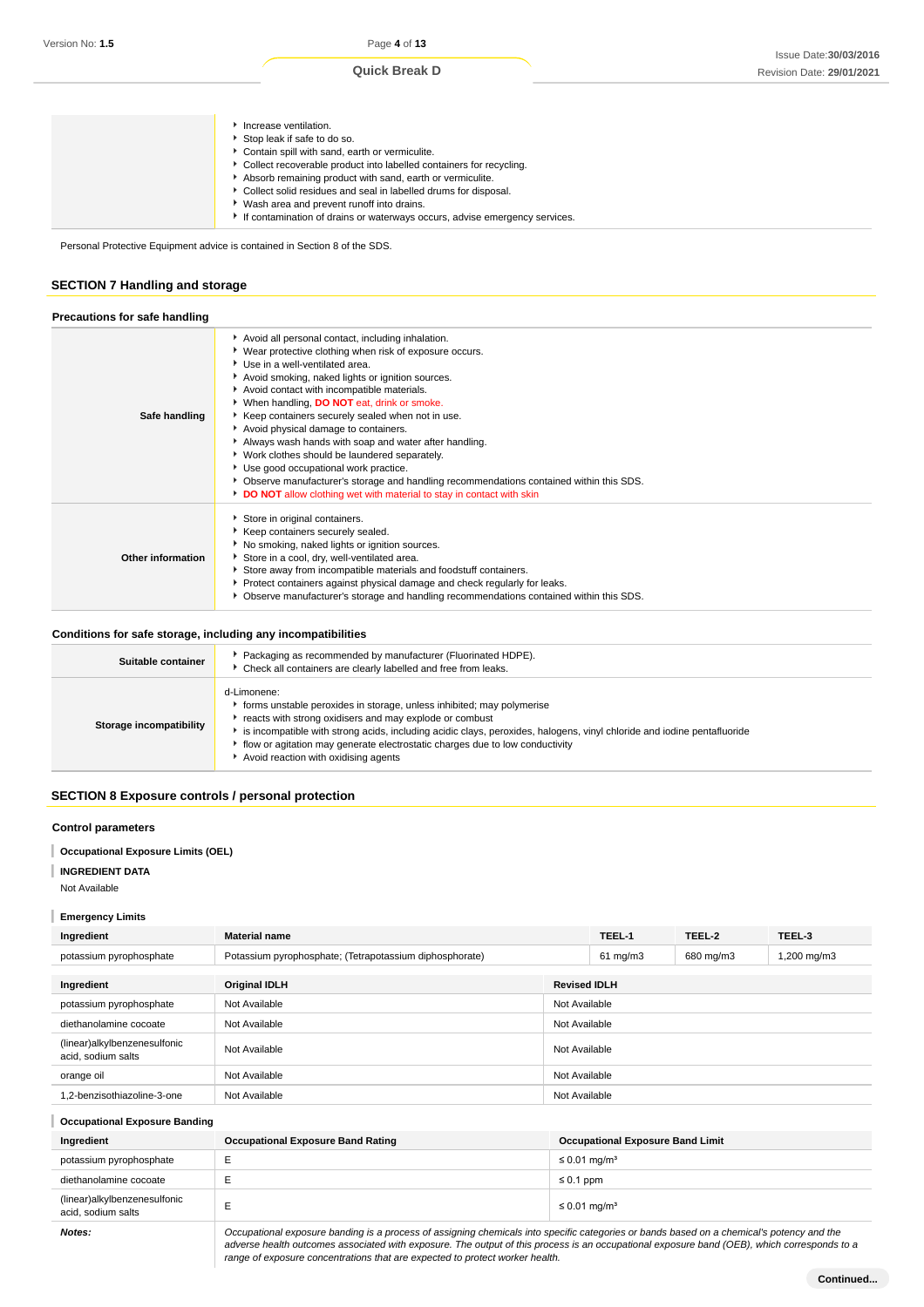Personal Protective Equipment advice is contained in Section 8 of the SDS.

# **SECTION 7 Handling and storage**

| Precautions for safe handling |                                                                                                                                                                                                                                                                                                                                                                                                                                                                                                                                                                                                                                                                                                                  |
|-------------------------------|------------------------------------------------------------------------------------------------------------------------------------------------------------------------------------------------------------------------------------------------------------------------------------------------------------------------------------------------------------------------------------------------------------------------------------------------------------------------------------------------------------------------------------------------------------------------------------------------------------------------------------------------------------------------------------------------------------------|
| Safe handling                 | Avoid all personal contact, including inhalation.<br>Wear protective clothing when risk of exposure occurs.<br>Use in a well-ventilated area.<br>Avoid smoking, naked lights or ignition sources.<br>Avoid contact with incompatible materials.<br>When handling, DO NOT eat, drink or smoke.<br>▶ Keep containers securely sealed when not in use.<br>Avoid physical damage to containers.<br>Always wash hands with soap and water after handling.<br>▶ Work clothes should be laundered separately.<br>Use good occupational work practice.<br>Observe manufacturer's storage and handling recommendations contained within this SDS.<br>DO NOT allow clothing wet with material to stay in contact with skin |
| Other information             | Store in original containers.<br>Keep containers securely sealed.<br>No smoking, naked lights or ignition sources.<br>Store in a cool, dry, well-ventilated area.<br>Store away from incompatible materials and foodstuff containers.<br>Protect containers against physical damage and check regularly for leaks.<br>Observe manufacturer's storage and handling recommendations contained within this SDS.                                                                                                                                                                                                                                                                                                     |

## **Conditions for safe storage, including any incompatibilities**

| Suitable container      | Packaging as recommended by manufacturer (Fluorinated HDPE).<br>Check all containers are clearly labelled and free from leaks.                                                                                                                                                                                                                                                                     |
|-------------------------|----------------------------------------------------------------------------------------------------------------------------------------------------------------------------------------------------------------------------------------------------------------------------------------------------------------------------------------------------------------------------------------------------|
| Storage incompatibility | d-Limonene:<br>forms unstable peroxides in storage, unless inhibited; may polymerise<br>reacts with strong oxidisers and may explode or combust<br>is incompatible with strong acids, including acidic clays, peroxides, halogens, vinyl chloride and iodine pentafluoride<br>flow or agitation may generate electrostatic charges due to low conductivity<br>Avoid reaction with oxidising agents |

## **SECTION 8 Exposure controls / personal protection**

## **Control parameters**

## **Occupational Exposure Limits (OEL)**

**INGREDIENT DATA**

Not Available

## **Emergency Limits**

| Ingredient                                         | <b>Material name</b>                                    |               | TEEL-1            | TEEL-2    | TEEL-3      |
|----------------------------------------------------|---------------------------------------------------------|---------------|-------------------|-----------|-------------|
| potassium pyrophosphate                            | Potassium pyrophosphate; (Tetrapotassium diphosphorate) |               | $61 \text{ mg/m}$ | 680 mg/m3 | 1,200 mg/m3 |
| Ingredient                                         | <b>Revised IDLH</b><br><b>Original IDLH</b>             |               |                   |           |             |
| potassium pyrophosphate                            | Not Available                                           | Not Available |                   |           |             |
| diethanolamine cocoate                             | Not Available                                           | Not Available |                   |           |             |
| (linear)alkylbenzenesulfonic<br>acid, sodium salts | Not Available                                           | Not Available |                   |           |             |
| orange oil                                         | Not Available                                           | Not Available |                   |           |             |
| 1.2-benzisothiazoline-3-one                        | Not Available                                           | Not Available |                   |           |             |

| <b>Occupational Exposure Banding</b>               |                                          |                                         |  |  |
|----------------------------------------------------|------------------------------------------|-----------------------------------------|--|--|
| Ingredient                                         | <b>Occupational Exposure Band Rating</b> | <b>Occupational Exposure Band Limit</b> |  |  |
| potassium pyrophosphate                            |                                          | ≤ 0.01 mg/m <sup>3</sup>                |  |  |
| diethanolamine cocoate                             |                                          | $\leq 0.1$ ppm                          |  |  |
| (linear)alkylbenzenesulfonic<br>acid, sodium salts |                                          | ≤ 0.01 mg/m <sup>3</sup>                |  |  |
|                                                    |                                          |                                         |  |  |

**Notes: Occupational exposure banding is a process of assigning chemicals into specific categories or bands based on a chemical's potency and the <b>Notes:** adverse health outcomes associated with exposure. The output of this process is an occupational exposure band (OEB), which corresponds to a range of exposure concentrations that are expected to protect worker health.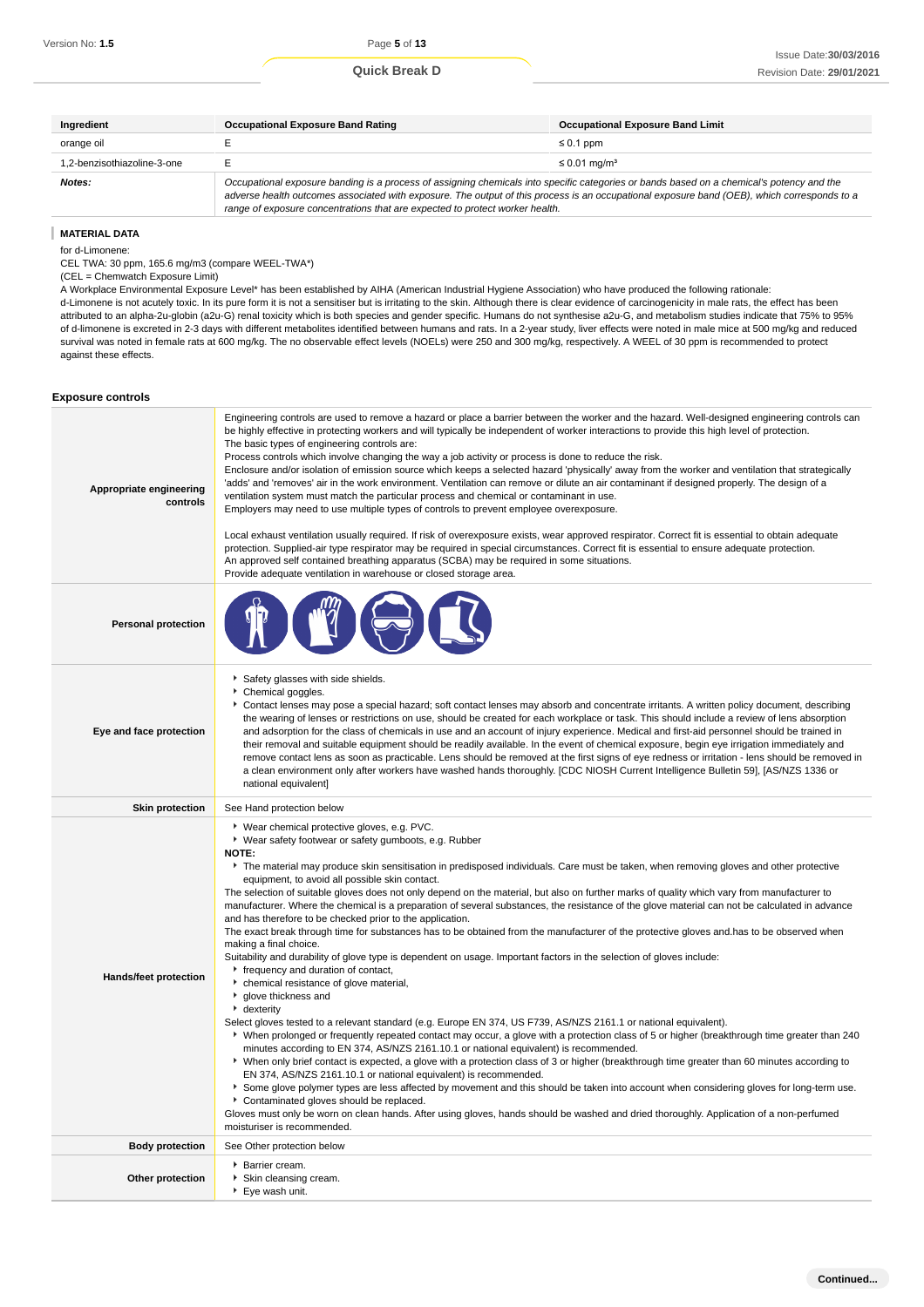| Ingredient                  | <b>Occupational Exposure Band Rating</b>                                                                                                                                                                                                                                                                                                                                 | <b>Occupational Exposure Band Limit</b> |  |
|-----------------------------|--------------------------------------------------------------------------------------------------------------------------------------------------------------------------------------------------------------------------------------------------------------------------------------------------------------------------------------------------------------------------|-----------------------------------------|--|
| orange oil                  |                                                                                                                                                                                                                                                                                                                                                                          | $\leq 0.1$ ppm                          |  |
| 1.2-benzisothiazoline-3-one |                                                                                                                                                                                                                                                                                                                                                                          | $\leq$ 0.01 mg/m <sup>3</sup>           |  |
| Notes:                      | Occupational exposure banding is a process of assigning chemicals into specific categories or bands based on a chemical's potency and the<br>adverse health outcomes associated with exposure. The output of this process is an occupational exposure band (OEB), which corresponds to a<br>range of exposure concentrations that are expected to protect worker health. |                                         |  |

#### **Exposure controls**

| Version No: <b>1.5</b>                                                                                                                                    | Page 5 of 13                                                                                                                                                                                                                                                                                                                                                                                                                                                                                                                                                                                                                                                                                                                                                                                                                                                                  |                                                                                                                                                                                                                                                                                                                                                                                                                                                                                                                                                                                                                                                                                                                                                                                                                                                                                                                                                                                                                                                                                                                                                                               |  |  |
|-----------------------------------------------------------------------------------------------------------------------------------------------------------|-------------------------------------------------------------------------------------------------------------------------------------------------------------------------------------------------------------------------------------------------------------------------------------------------------------------------------------------------------------------------------------------------------------------------------------------------------------------------------------------------------------------------------------------------------------------------------------------------------------------------------------------------------------------------------------------------------------------------------------------------------------------------------------------------------------------------------------------------------------------------------|-------------------------------------------------------------------------------------------------------------------------------------------------------------------------------------------------------------------------------------------------------------------------------------------------------------------------------------------------------------------------------------------------------------------------------------------------------------------------------------------------------------------------------------------------------------------------------------------------------------------------------------------------------------------------------------------------------------------------------------------------------------------------------------------------------------------------------------------------------------------------------------------------------------------------------------------------------------------------------------------------------------------------------------------------------------------------------------------------------------------------------------------------------------------------------|--|--|
|                                                                                                                                                           | <b>Quick Break D</b>                                                                                                                                                                                                                                                                                                                                                                                                                                                                                                                                                                                                                                                                                                                                                                                                                                                          | Issue Date: 30/03/2016<br>Revision Date: 29/01/2021                                                                                                                                                                                                                                                                                                                                                                                                                                                                                                                                                                                                                                                                                                                                                                                                                                                                                                                                                                                                                                                                                                                           |  |  |
|                                                                                                                                                           |                                                                                                                                                                                                                                                                                                                                                                                                                                                                                                                                                                                                                                                                                                                                                                                                                                                                               |                                                                                                                                                                                                                                                                                                                                                                                                                                                                                                                                                                                                                                                                                                                                                                                                                                                                                                                                                                                                                                                                                                                                                                               |  |  |
| Ingredient                                                                                                                                                | <b>Occupational Exposure Band Rating</b>                                                                                                                                                                                                                                                                                                                                                                                                                                                                                                                                                                                                                                                                                                                                                                                                                                      | <b>Occupational Exposure Band Limit</b>                                                                                                                                                                                                                                                                                                                                                                                                                                                                                                                                                                                                                                                                                                                                                                                                                                                                                                                                                                                                                                                                                                                                       |  |  |
| orange oil                                                                                                                                                | Е                                                                                                                                                                                                                                                                                                                                                                                                                                                                                                                                                                                                                                                                                                                                                                                                                                                                             | $\leq 0.1$ ppm                                                                                                                                                                                                                                                                                                                                                                                                                                                                                                                                                                                                                                                                                                                                                                                                                                                                                                                                                                                                                                                                                                                                                                |  |  |
| 1,2-benzisothiazoline-3-one<br>Notes:                                                                                                                     | E<br>range of exposure concentrations that are expected to protect worker health.                                                                                                                                                                                                                                                                                                                                                                                                                                                                                                                                                                                                                                                                                                                                                                                             | $\leq$ 0.01 mg/m <sup>3</sup><br>Occupational exposure banding is a process of assigning chemicals into specific categories or bands based on a chemical's potency and the<br>adverse health outcomes associated with exposure. The output of this process is an occupational exposure band (OEB), which corresponds to a                                                                                                                                                                                                                                                                                                                                                                                                                                                                                                                                                                                                                                                                                                                                                                                                                                                     |  |  |
| <b>MATERIAL DATA</b><br>for d-Limonene:<br>CEL TWA: 30 ppm, 165.6 mg/m3 (compare WEEL-TWA*)<br>(CEL = Chemwatch Exposure Limit)<br>against these effects. | A Workplace Environmental Exposure Level* has been established by AIHA (American Industrial Hygiene Association) who have produced the following rationale:                                                                                                                                                                                                                                                                                                                                                                                                                                                                                                                                                                                                                                                                                                                   | d-Limonene is not acutely toxic. In its pure form it is not a sensitiser but is irritating to the skin. Although there is clear evidence of carcinogenicity in male rats, the effect has been<br>attributed to an alpha-2u-globin (a2u-G) renal toxicity which is both species and gender specific. Humans do not synthesise a2u-G, and metabolism studies indicate that 75% to 95%<br>of d-limonene is excreted in 2-3 days with different metabolites identified between humans and rats. In a 2-year study, liver effects were noted in male mice at 500 mg/kg and reduced<br>survival was noted in female rats at 600 mg/kg. The no observable effect levels (NOELs) were 250 and 300 mg/kg, respectively. A WEEL of 30 ppm is recommended to protect                                                                                                                                                                                                                                                                                                                                                                                                                     |  |  |
| <b>Exposure controls</b>                                                                                                                                  |                                                                                                                                                                                                                                                                                                                                                                                                                                                                                                                                                                                                                                                                                                                                                                                                                                                                               |                                                                                                                                                                                                                                                                                                                                                                                                                                                                                                                                                                                                                                                                                                                                                                                                                                                                                                                                                                                                                                                                                                                                                                               |  |  |
| Appropriate engineering<br>controls                                                                                                                       | be highly effective in protecting workers and will typically be independent of worker interactions to provide this high level of protection.<br>The basic types of engineering controls are:<br>Process controls which involve changing the way a job activity or process is done to reduce the risk.<br>ventilation system must match the particular process and chemical or contaminant in use.<br>Employers may need to use multiple types of controls to prevent employee overexposure.<br>An approved self contained breathing apparatus (SCBA) may be required in some situations.                                                                                                                                                                                                                                                                                      | Engineering controls are used to remove a hazard or place a barrier between the worker and the hazard. Well-designed engineering controls can<br>Enclosure and/or isolation of emission source which keeps a selected hazard 'physically' away from the worker and ventilation that strategically<br>'adds' and 'removes' air in the work environment. Ventilation can remove or dilute an air contaminant if designed properly. The design of a<br>Local exhaust ventilation usually required. If risk of overexposure exists, wear approved respirator. Correct fit is essential to obtain adequate<br>protection. Supplied-air type respirator may be required in special circumstances. Correct fit is essential to ensure adequate protection.                                                                                                                                                                                                                                                                                                                                                                                                                           |  |  |
| <b>Personal protection</b>                                                                                                                                | Provide adequate ventilation in warehouse or closed storage area.                                                                                                                                                                                                                                                                                                                                                                                                                                                                                                                                                                                                                                                                                                                                                                                                             |                                                                                                                                                                                                                                                                                                                                                                                                                                                                                                                                                                                                                                                                                                                                                                                                                                                                                                                                                                                                                                                                                                                                                                               |  |  |
| Eye and face protection                                                                                                                                   | Safety glasses with side shields.<br>Chemical goggles.<br>national equivalent]                                                                                                                                                                                                                                                                                                                                                                                                                                                                                                                                                                                                                                                                                                                                                                                                | ▶ Contact lenses may pose a special hazard; soft contact lenses may absorb and concentrate irritants. A written policy document, describing<br>the wearing of lenses or restrictions on use, should be created for each workplace or task. This should include a review of lens absorption<br>and adsorption for the class of chemicals in use and an account of injury experience. Medical and first-aid personnel should be trained in<br>their removal and suitable equipment should be readily available. In the event of chemical exposure, begin eye irrigation immediately and<br>remove contact lens as soon as practicable. Lens should be removed at the first signs of eye redness or irritation - lens should be removed in<br>a clean environment only after workers have washed hands thoroughly. [CDC NIOSH Current Intelligence Bulletin 59], [AS/NZS 1336 or                                                                                                                                                                                                                                                                                                 |  |  |
| <b>Skin protection</b>                                                                                                                                    | See Hand protection below                                                                                                                                                                                                                                                                                                                                                                                                                                                                                                                                                                                                                                                                                                                                                                                                                                                     |                                                                                                                                                                                                                                                                                                                                                                                                                                                                                                                                                                                                                                                                                                                                                                                                                                                                                                                                                                                                                                                                                                                                                                               |  |  |
| Hands/feet protection                                                                                                                                     | ▶ Wear chemical protective gloves, e.g. PVC.<br>▶ Wear safety footwear or safety gumboots, e.g. Rubber<br><b>NOTE:</b><br>equipment, to avoid all possible skin contact.<br>and has therefore to be checked prior to the application.<br>making a final choice.<br>Suitability and durability of glove type is dependent on usage. Important factors in the selection of gloves include:<br>r frequency and duration of contact,<br>• chemical resistance of glove material,<br>glove thickness and<br>• dexterity<br>Select gloves tested to a relevant standard (e.g. Europe EN 374, US F739, AS/NZS 2161.1 or national equivalent).<br>minutes according to EN 374, AS/NZS 2161.10.1 or national equivalent) is recommended.<br>EN 374, AS/NZS 2161.10.1 or national equivalent) is recommended.<br>Contaminated gloves should be replaced.<br>moisturiser is recommended. | The material may produce skin sensitisation in predisposed individuals. Care must be taken, when removing gloves and other protective<br>The selection of suitable gloves does not only depend on the material, but also on further marks of quality which vary from manufacturer to<br>manufacturer. Where the chemical is a preparation of several substances, the resistance of the glove material can not be calculated in advance<br>The exact break through time for substances has to be obtained from the manufacturer of the protective gloves and has to be observed when<br>• When prolonged or frequently repeated contact may occur, a glove with a protection class of 5 or higher (breakthrough time greater than 240<br>▶ When only brief contact is expected, a glove with a protection class of 3 or higher (breakthrough time greater than 60 minutes according to<br>▶ Some glove polymer types are less affected by movement and this should be taken into account when considering gloves for long-term use.<br>Gloves must only be worn on clean hands. After using gloves, hands should be washed and dried thoroughly. Application of a non-perfumed |  |  |
| <b>Body protection</b>                                                                                                                                    | See Other protection below                                                                                                                                                                                                                                                                                                                                                                                                                                                                                                                                                                                                                                                                                                                                                                                                                                                    |                                                                                                                                                                                                                                                                                                                                                                                                                                                                                                                                                                                                                                                                                                                                                                                                                                                                                                                                                                                                                                                                                                                                                                               |  |  |
| Other protection                                                                                                                                          | Barrier cream.<br>Skin cleansing cream.<br>▶ Eye wash unit.                                                                                                                                                                                                                                                                                                                                                                                                                                                                                                                                                                                                                                                                                                                                                                                                                   |                                                                                                                                                                                                                                                                                                                                                                                                                                                                                                                                                                                                                                                                                                                                                                                                                                                                                                                                                                                                                                                                                                                                                                               |  |  |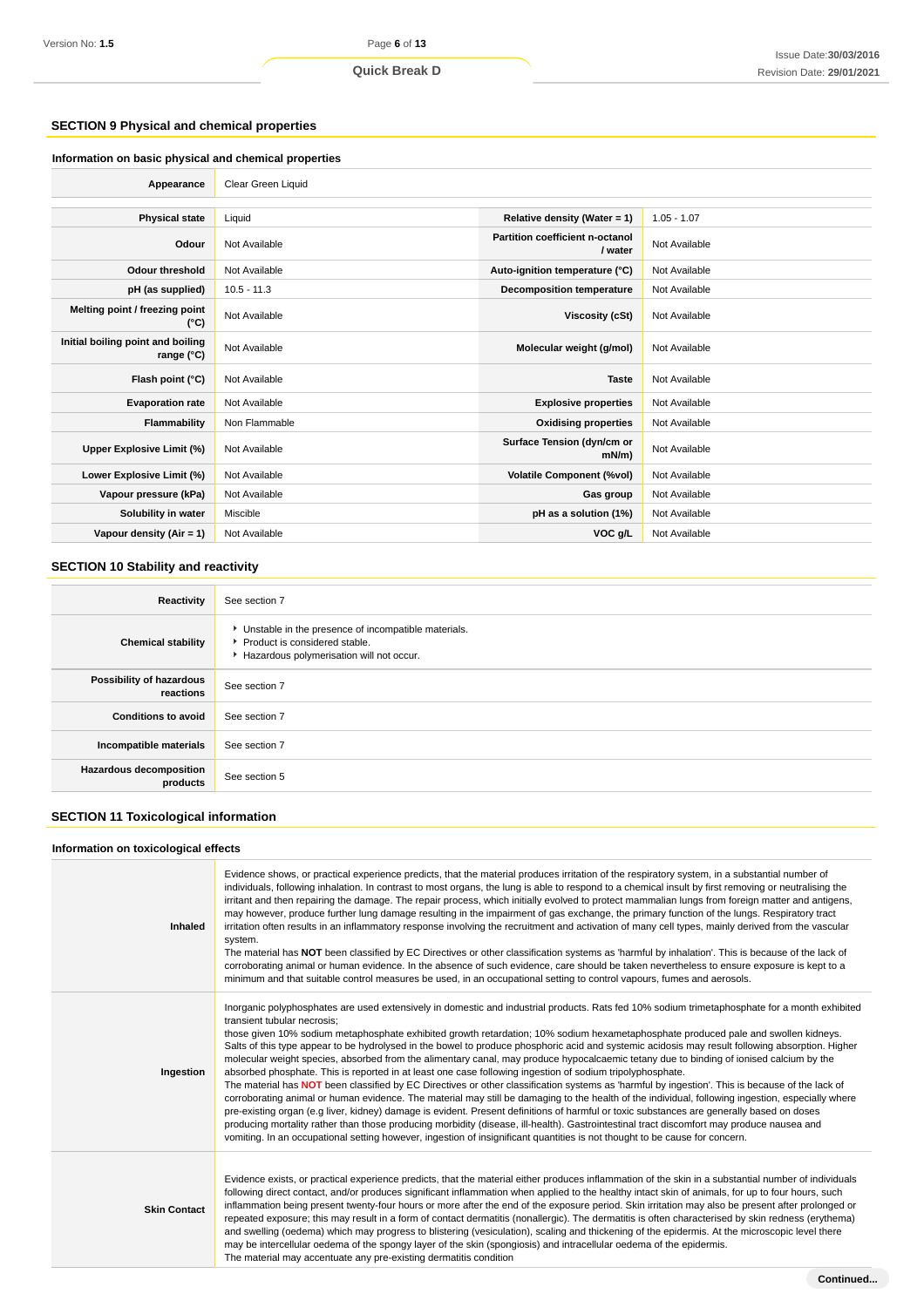## **SECTION 9 Physical and chemical properties**

| Information on basic physical and chemical properties    |                    |                                            |               |  |
|----------------------------------------------------------|--------------------|--------------------------------------------|---------------|--|
| Appearance                                               | Clear Green Liquid |                                            |               |  |
|                                                          |                    |                                            |               |  |
| <b>Physical state</b>                                    | Liquid             | Relative density (Water = $1$ )            | $1.05 - 1.07$ |  |
| Odour                                                    | Not Available      | Partition coefficient n-octanol<br>/ water | Not Available |  |
| <b>Odour threshold</b>                                   | Not Available      | Auto-ignition temperature (°C)             | Not Available |  |
| pH (as supplied)                                         | $10.5 - 11.3$      | <b>Decomposition temperature</b>           | Not Available |  |
| Melting point / freezing point<br>(°C)                   | Not Available      | Viscosity (cSt)                            | Not Available |  |
| Initial boiling point and boiling<br>range $(^{\circ}C)$ | Not Available      | Molecular weight (g/mol)                   | Not Available |  |
| Flash point (°C)                                         | Not Available      | <b>Taste</b>                               | Not Available |  |
| <b>Evaporation rate</b>                                  | Not Available      | <b>Explosive properties</b>                | Not Available |  |
| Flammability                                             | Non Flammable      | <b>Oxidising properties</b>                | Not Available |  |
| Upper Explosive Limit (%)                                | Not Available      | Surface Tension (dyn/cm or<br>$mN/m$ )     | Not Available |  |
| Lower Explosive Limit (%)                                | Not Available      | <b>Volatile Component (%vol)</b>           | Not Available |  |
| Vapour pressure (kPa)                                    | Not Available      | Gas group                                  | Not Available |  |
| Solubility in water                                      | Miscible           | pH as a solution (1%)                      | Not Available |  |
| Vapour density (Air = $1$ )                              | Not Available      | VOC g/L                                    | Not Available |  |

# **SECTION 10 Stability and reactivity**

| Reactivity                                 | See section 7                                                                                                                        |
|--------------------------------------------|--------------------------------------------------------------------------------------------------------------------------------------|
| <b>Chemical stability</b>                  | • Unstable in the presence of incompatible materials.<br>▶ Product is considered stable.<br>Hazardous polymerisation will not occur. |
| Possibility of hazardous<br>reactions      | See section 7                                                                                                                        |
| <b>Conditions to avoid</b>                 | See section 7                                                                                                                        |
| Incompatible materials                     | See section 7                                                                                                                        |
| <b>Hazardous decomposition</b><br>products | See section 5                                                                                                                        |

# **SECTION 11 Toxicological information**

## **Information on toxicological effects**

| <b>Inhaled</b>      | Evidence shows, or practical experience predicts, that the material produces irritation of the respiratory system, in a substantial number of<br>individuals, following inhalation. In contrast to most organs, the lung is able to respond to a chemical insult by first removing or neutralising the<br>irritant and then repairing the damage. The repair process, which initially evolved to protect mammalian lungs from foreign matter and antigens,<br>may however, produce further lung damage resulting in the impairment of gas exchange, the primary function of the lungs. Respiratory tract<br>irritation often results in an inflammatory response involving the recruitment and activation of many cell types, mainly derived from the vascular<br>system.<br>The material has NOT been classified by EC Directives or other classification systems as 'harmful by inhalation'. This is because of the lack of<br>corroborating animal or human evidence. In the absence of such evidence, care should be taken nevertheless to ensure exposure is kept to a<br>minimum and that suitable control measures be used, in an occupational setting to control vapours, fumes and aerosols.                                                                                                                                                                                                                                                           |
|---------------------|-----------------------------------------------------------------------------------------------------------------------------------------------------------------------------------------------------------------------------------------------------------------------------------------------------------------------------------------------------------------------------------------------------------------------------------------------------------------------------------------------------------------------------------------------------------------------------------------------------------------------------------------------------------------------------------------------------------------------------------------------------------------------------------------------------------------------------------------------------------------------------------------------------------------------------------------------------------------------------------------------------------------------------------------------------------------------------------------------------------------------------------------------------------------------------------------------------------------------------------------------------------------------------------------------------------------------------------------------------------------------------------------------------------------------------------------------------------------|
| Ingestion           | Inorganic polyphosphates are used extensively in domestic and industrial products. Rats fed 10% sodium trimetaphosphate for a month exhibited<br>transient tubular necrosis:<br>those given 10% sodium metaphosphate exhibited growth retardation; 10% sodium hexametaphosphate produced pale and swollen kidneys.<br>Salts of this type appear to be hydrolysed in the bowel to produce phosphoric acid and systemic acidosis may result following absorption. Higher<br>molecular weight species, absorbed from the alimentary canal, may produce hypocalcaemic tetany due to binding of ionised calcium by the<br>absorbed phosphate. This is reported in at least one case following ingestion of sodium tripolyphosphate.<br>The material has NOT been classified by EC Directives or other classification systems as 'harmful by ingestion'. This is because of the lack of<br>corroborating animal or human evidence. The material may still be damaging to the health of the individual, following ingestion, especially where<br>pre-existing organ (e.g liver, kidney) damage is evident. Present definitions of harmful or toxic substances are generally based on doses<br>producing mortality rather than those producing morbidity (disease, ill-health). Gastrointestinal tract discomfort may produce nausea and<br>vomiting. In an occupational setting however, ingestion of insignificant quantities is not thought to be cause for concern. |
| <b>Skin Contact</b> | Evidence exists, or practical experience predicts, that the material either produces inflammation of the skin in a substantial number of individuals<br>following direct contact, and/or produces significant inflammation when applied to the healthy intact skin of animals, for up to four hours, such<br>inflammation being present twenty-four hours or more after the end of the exposure period. Skin irritation may also be present after prolonged or<br>repeated exposure; this may result in a form of contact dermatitis (nonallergic). The dermatitis is often characterised by skin redness (erythema)<br>and swelling (oedema) which may progress to blistering (vesiculation), scaling and thickening of the epidermis. At the microscopic level there<br>may be intercellular oedema of the spongy layer of the skin (spongiosis) and intracellular oedema of the epidermis.<br>The material may accentuate any pre-existing dermatitis condition                                                                                                                                                                                                                                                                                                                                                                                                                                                                                              |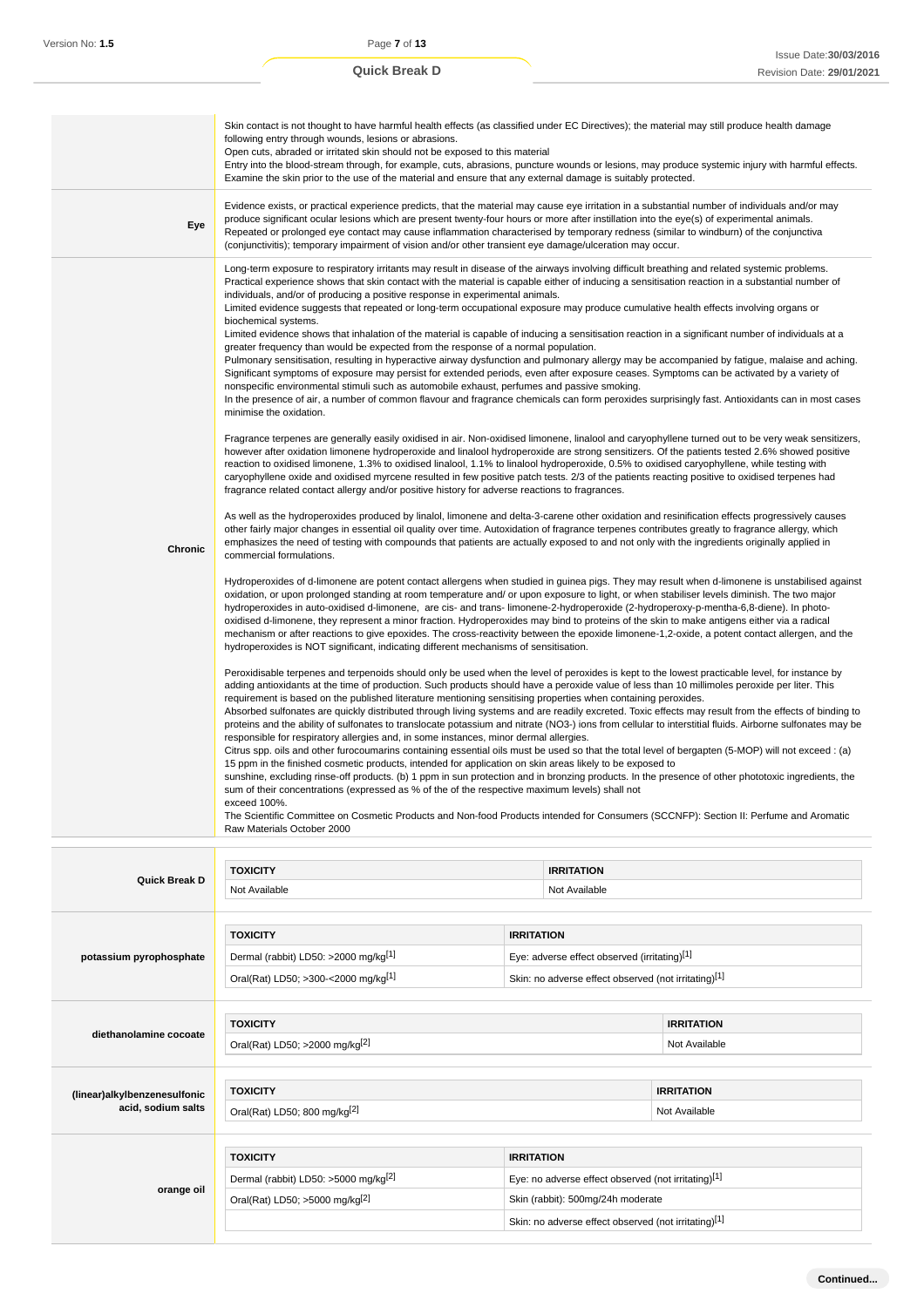|                                                    | Skin contact is not thought to have harmful health effects (as classified under EC Directives); the material may still produce health damage<br>following entry through wounds, lesions or abrasions.<br>Open cuts, abraded or irritated skin should not be exposed to this material<br>Entry into the blood-stream through, for example, cuts, abrasions, puncture wounds or lesions, may produce systemic injury with harmful effects.<br>Examine the skin prior to the use of the material and ensure that any external damage is suitably protected.                                                                                                                                                                                                                                                                                                                                                                                                                                                                                                                                                                                                                                                                                                                                                                                                                                                                                                                                                                                                                                                                                                                                                                                                                                                                                                                                                                                                                                                                                                                                                                                                                                                                                                                                                                                                                                                                                                                                                                                                                                                                                                                                                                                                                                                                                                                                                                                                                                                                                                                                                                                                                                                                                                                                                                                                                                                                                                                                                                                                                                                                                                                                                                                                                                                                                                                                                                                                                                                                                                                                                                                                                                                                                                                                                                                                                                                                                                                                                                                                                                                                                                                                                                                                          |                                                                                          |                                    |                                    |
|----------------------------------------------------|-------------------------------------------------------------------------------------------------------------------------------------------------------------------------------------------------------------------------------------------------------------------------------------------------------------------------------------------------------------------------------------------------------------------------------------------------------------------------------------------------------------------------------------------------------------------------------------------------------------------------------------------------------------------------------------------------------------------------------------------------------------------------------------------------------------------------------------------------------------------------------------------------------------------------------------------------------------------------------------------------------------------------------------------------------------------------------------------------------------------------------------------------------------------------------------------------------------------------------------------------------------------------------------------------------------------------------------------------------------------------------------------------------------------------------------------------------------------------------------------------------------------------------------------------------------------------------------------------------------------------------------------------------------------------------------------------------------------------------------------------------------------------------------------------------------------------------------------------------------------------------------------------------------------------------------------------------------------------------------------------------------------------------------------------------------------------------------------------------------------------------------------------------------------------------------------------------------------------------------------------------------------------------------------------------------------------------------------------------------------------------------------------------------------------------------------------------------------------------------------------------------------------------------------------------------------------------------------------------------------------------------------------------------------------------------------------------------------------------------------------------------------------------------------------------------------------------------------------------------------------------------------------------------------------------------------------------------------------------------------------------------------------------------------------------------------------------------------------------------------------------------------------------------------------------------------------------------------------------------------------------------------------------------------------------------------------------------------------------------------------------------------------------------------------------------------------------------------------------------------------------------------------------------------------------------------------------------------------------------------------------------------------------------------------------------------------------------------------------------------------------------------------------------------------------------------------------------------------------------------------------------------------------------------------------------------------------------------------------------------------------------------------------------------------------------------------------------------------------------------------------------------------------------------------------------------------------------------------------------------------------------------------------------------------------------------------------------------------------------------------------------------------------------------------------------------------------------------------------------------------------------------------------------------------------------------------------------------------------------------------------------------------------------------------------------------------------------------------------------------------------------------|------------------------------------------------------------------------------------------|------------------------------------|------------------------------------|
| Eye                                                | Evidence exists, or practical experience predicts, that the material may cause eye irritation in a substantial number of individuals and/or may<br>produce significant ocular lesions which are present twenty-four hours or more after instillation into the eye(s) of experimental animals.<br>Repeated or prolonged eye contact may cause inflammation characterised by temporary redness (similar to windburn) of the conjunctiva<br>(conjunctivitis); temporary impairment of vision and/or other transient eye damage/ulceration may occur.                                                                                                                                                                                                                                                                                                                                                                                                                                                                                                                                                                                                                                                                                                                                                                                                                                                                                                                                                                                                                                                                                                                                                                                                                                                                                                                                                                                                                                                                                                                                                                                                                                                                                                                                                                                                                                                                                                                                                                                                                                                                                                                                                                                                                                                                                                                                                                                                                                                                                                                                                                                                                                                                                                                                                                                                                                                                                                                                                                                                                                                                                                                                                                                                                                                                                                                                                                                                                                                                                                                                                                                                                                                                                                                                                                                                                                                                                                                                                                                                                                                                                                                                                                                                                 |                                                                                          |                                    |                                    |
| Chronic                                            | Long-term exposure to respiratory irritants may result in disease of the airways involving difficult breathing and related systemic problems.<br>Practical experience shows that skin contact with the material is capable either of inducing a sensitisation reaction in a substantial number of<br>individuals, and/or of producing a positive response in experimental animals.<br>Limited evidence suggests that repeated or long-term occupational exposure may produce cumulative health effects involving organs or<br>biochemical systems.<br>Limited evidence shows that inhalation of the material is capable of inducing a sensitisation reaction in a significant number of individuals at a<br>greater frequency than would be expected from the response of a normal population.<br>Pulmonary sensitisation, resulting in hyperactive airway dysfunction and pulmonary allergy may be accompanied by fatigue, malaise and aching.<br>Significant symptoms of exposure may persist for extended periods, even after exposure ceases. Symptoms can be activated by a variety of<br>nonspecific environmental stimuli such as automobile exhaust, perfumes and passive smoking.<br>In the presence of air, a number of common flavour and fragrance chemicals can form peroxides surprisingly fast. Antioxidants can in most cases<br>minimise the oxidation.<br>Fragrance terpenes are generally easily oxidised in air. Non-oxidised limonene, linalool and caryophyllene turned out to be very weak sensitizers,<br>however after oxidation limonene hydroperoxide and linalool hydroperoxide are strong sensitizers. Of the patients tested 2.6% showed positive<br>reaction to oxidised limonene, 1.3% to oxidised linalool, 1.1% to linalool hydroperoxide, 0.5% to oxidised caryophyllene, while testing with<br>caryophyllene oxide and oxidised myrcene resulted in few positive patch tests. 2/3 of the patients reacting positive to oxidised terpenes had<br>fragrance related contact allergy and/or positive history for adverse reactions to fragrances.<br>As well as the hydroperoxides produced by linalol, limonene and delta-3-carene other oxidation and resinification effects progressively causes<br>other fairly major changes in essential oil quality over time. Autoxidation of fragrance terpenes contributes greatly to fragrance allergy, which<br>emphasizes the need of testing with compounds that patients are actually exposed to and not only with the ingredients originally applied in<br>commercial formulations.<br>Hydroperoxides of d-limonene are potent contact allergens when studied in guinea pigs. They may result when d-limonene is unstabilised against<br>oxidation, or upon prolonged standing at room temperature and/or upon exposure to light, or when stabiliser levels diminish. The two major<br>hydroperoxides in auto-oxidised d-limonene, are cis- and trans-limonene-2-hydroperoxide (2-hydroperoxy-p-mentha-6,8-diene). In photo-<br>oxidised d-limonene, they represent a minor fraction. Hydroperoxides may bind to proteins of the skin to make antigens either via a radical<br>mechanism or after reactions to give epoxides. The cross-reactivity between the epoxide limonene-1,2-oxide, a potent contact allergen, and the<br>hydroperoxides is NOT significant, indicating different mechanisms of sensitisation.<br>Peroxidisable terpenes and terpenoids should only be used when the level of peroxides is kept to the lowest practicable level, for instance by<br>adding antioxidants at the time of production. Such products should have a peroxide value of less than 10 millimoles peroxide per liter. This<br>requirement is based on the published literature mentioning sensitising properties when containing peroxides.<br>Absorbed sulfonates are quickly distributed through living systems and are readily excreted. Toxic effects may result from the effects of binding to<br>proteins and the ability of sulfonates to translocate potassium and nitrate (NO3-) ions from cellular to interstitial fluids. Airborne sulfonates may be<br>responsible for respiratory allergies and, in some instances, minor dermal allergies.<br>Citrus spp. oils and other furocoumarins containing essential oils must be used so that the total level of bergapten (5-MOP) will not exceed : (a)<br>15 ppm in the finished cosmetic products, intended for application on skin areas likely to be exposed to<br>sunshine, excluding rinse-off products. (b) 1 ppm in sun protection and in bronzing products. In the presence of other phototoxic ingredients, the<br>sum of their concentrations (expressed as % of the of the respective maximum levels) shall not |                                                                                          |                                    |                                    |
|                                                    |                                                                                                                                                                                                                                                                                                                                                                                                                                                                                                                                                                                                                                                                                                                                                                                                                                                                                                                                                                                                                                                                                                                                                                                                                                                                                                                                                                                                                                                                                                                                                                                                                                                                                                                                                                                                                                                                                                                                                                                                                                                                                                                                                                                                                                                                                                                                                                                                                                                                                                                                                                                                                                                                                                                                                                                                                                                                                                                                                                                                                                                                                                                                                                                                                                                                                                                                                                                                                                                                                                                                                                                                                                                                                                                                                                                                                                                                                                                                                                                                                                                                                                                                                                                                                                                                                                                                                                                                                                                                                                                                                                                                                                                                                                                                                                   |                                                                                          |                                    |                                    |
| Quick Break D                                      | <b>TOXICITY</b>                                                                                                                                                                                                                                                                                                                                                                                                                                                                                                                                                                                                                                                                                                                                                                                                                                                                                                                                                                                                                                                                                                                                                                                                                                                                                                                                                                                                                                                                                                                                                                                                                                                                                                                                                                                                                                                                                                                                                                                                                                                                                                                                                                                                                                                                                                                                                                                                                                                                                                                                                                                                                                                                                                                                                                                                                                                                                                                                                                                                                                                                                                                                                                                                                                                                                                                                                                                                                                                                                                                                                                                                                                                                                                                                                                                                                                                                                                                                                                                                                                                                                                                                                                                                                                                                                                                                                                                                                                                                                                                                                                                                                                                                                                                                                   |                                                                                          | <b>IRRITATION</b>                  |                                    |
|                                                    | Not Available                                                                                                                                                                                                                                                                                                                                                                                                                                                                                                                                                                                                                                                                                                                                                                                                                                                                                                                                                                                                                                                                                                                                                                                                                                                                                                                                                                                                                                                                                                                                                                                                                                                                                                                                                                                                                                                                                                                                                                                                                                                                                                                                                                                                                                                                                                                                                                                                                                                                                                                                                                                                                                                                                                                                                                                                                                                                                                                                                                                                                                                                                                                                                                                                                                                                                                                                                                                                                                                                                                                                                                                                                                                                                                                                                                                                                                                                                                                                                                                                                                                                                                                                                                                                                                                                                                                                                                                                                                                                                                                                                                                                                                                                                                                                                     |                                                                                          | Not Available                      |                                    |
| potassium pyrophosphate                            | <b>TOXICITY</b><br><b>IRRITATION</b><br>Dermal (rabbit) LD50: >2000 mg/kg <sup>[1]</sup><br>Eye: adverse effect observed (irritating)[1]<br>Oral(Rat) LD50; >300-<2000 mg/kg[1]<br>Skin: no adverse effect observed (not irritating)[1]                                                                                                                                                                                                                                                                                                                                                                                                                                                                                                                                                                                                                                                                                                                                                                                                                                                                                                                                                                                                                                                                                                                                                                                                                                                                                                                                                                                                                                                                                                                                                                                                                                                                                                                                                                                                                                                                                                                                                                                                                                                                                                                                                                                                                                                                                                                                                                                                                                                                                                                                                                                                                                                                                                                                                                                                                                                                                                                                                                                                                                                                                                                                                                                                                                                                                                                                                                                                                                                                                                                                                                                                                                                                                                                                                                                                                                                                                                                                                                                                                                                                                                                                                                                                                                                                                                                                                                                                                                                                                                                           |                                                                                          |                                    |                                    |
| diethanolamine cocoate                             | <b>TOXICITY</b><br>Oral(Rat) LD50; >2000 mg/kg[2]                                                                                                                                                                                                                                                                                                                                                                                                                                                                                                                                                                                                                                                                                                                                                                                                                                                                                                                                                                                                                                                                                                                                                                                                                                                                                                                                                                                                                                                                                                                                                                                                                                                                                                                                                                                                                                                                                                                                                                                                                                                                                                                                                                                                                                                                                                                                                                                                                                                                                                                                                                                                                                                                                                                                                                                                                                                                                                                                                                                                                                                                                                                                                                                                                                                                                                                                                                                                                                                                                                                                                                                                                                                                                                                                                                                                                                                                                                                                                                                                                                                                                                                                                                                                                                                                                                                                                                                                                                                                                                                                                                                                                                                                                                                 |                                                                                          |                                    | <b>IRRITATION</b><br>Not Available |
|                                                    |                                                                                                                                                                                                                                                                                                                                                                                                                                                                                                                                                                                                                                                                                                                                                                                                                                                                                                                                                                                                                                                                                                                                                                                                                                                                                                                                                                                                                                                                                                                                                                                                                                                                                                                                                                                                                                                                                                                                                                                                                                                                                                                                                                                                                                                                                                                                                                                                                                                                                                                                                                                                                                                                                                                                                                                                                                                                                                                                                                                                                                                                                                                                                                                                                                                                                                                                                                                                                                                                                                                                                                                                                                                                                                                                                                                                                                                                                                                                                                                                                                                                                                                                                                                                                                                                                                                                                                                                                                                                                                                                                                                                                                                                                                                                                                   |                                                                                          |                                    |                                    |
| (linear)alkylbenzenesulfonic<br>acid, sodium salts | <b>TOXICITY</b><br>Oral(Rat) LD50; 800 mg/kg[2]                                                                                                                                                                                                                                                                                                                                                                                                                                                                                                                                                                                                                                                                                                                                                                                                                                                                                                                                                                                                                                                                                                                                                                                                                                                                                                                                                                                                                                                                                                                                                                                                                                                                                                                                                                                                                                                                                                                                                                                                                                                                                                                                                                                                                                                                                                                                                                                                                                                                                                                                                                                                                                                                                                                                                                                                                                                                                                                                                                                                                                                                                                                                                                                                                                                                                                                                                                                                                                                                                                                                                                                                                                                                                                                                                                                                                                                                                                                                                                                                                                                                                                                                                                                                                                                                                                                                                                                                                                                                                                                                                                                                                                                                                                                   |                                                                                          | <b>IRRITATION</b><br>Not Available |                                    |
|                                                    |                                                                                                                                                                                                                                                                                                                                                                                                                                                                                                                                                                                                                                                                                                                                                                                                                                                                                                                                                                                                                                                                                                                                                                                                                                                                                                                                                                                                                                                                                                                                                                                                                                                                                                                                                                                                                                                                                                                                                                                                                                                                                                                                                                                                                                                                                                                                                                                                                                                                                                                                                                                                                                                                                                                                                                                                                                                                                                                                                                                                                                                                                                                                                                                                                                                                                                                                                                                                                                                                                                                                                                                                                                                                                                                                                                                                                                                                                                                                                                                                                                                                                                                                                                                                                                                                                                                                                                                                                                                                                                                                                                                                                                                                                                                                                                   |                                                                                          |                                    |                                    |
|                                                    | <b>TOXICITY</b><br>Dermal (rabbit) LD50: >5000 mg/kg <sup>[2]</sup>                                                                                                                                                                                                                                                                                                                                                                                                                                                                                                                                                                                                                                                                                                                                                                                                                                                                                                                                                                                                                                                                                                                                                                                                                                                                                                                                                                                                                                                                                                                                                                                                                                                                                                                                                                                                                                                                                                                                                                                                                                                                                                                                                                                                                                                                                                                                                                                                                                                                                                                                                                                                                                                                                                                                                                                                                                                                                                                                                                                                                                                                                                                                                                                                                                                                                                                                                                                                                                                                                                                                                                                                                                                                                                                                                                                                                                                                                                                                                                                                                                                                                                                                                                                                                                                                                                                                                                                                                                                                                                                                                                                                                                                                                               | <b>IRRITATION</b>                                                                        |                                    |                                    |
| orange oil                                         | Oral(Rat) LD50; >5000 mg/kg <sup>[2]</sup>                                                                                                                                                                                                                                                                                                                                                                                                                                                                                                                                                                                                                                                                                                                                                                                                                                                                                                                                                                                                                                                                                                                                                                                                                                                                                                                                                                                                                                                                                                                                                                                                                                                                                                                                                                                                                                                                                                                                                                                                                                                                                                                                                                                                                                                                                                                                                                                                                                                                                                                                                                                                                                                                                                                                                                                                                                                                                                                                                                                                                                                                                                                                                                                                                                                                                                                                                                                                                                                                                                                                                                                                                                                                                                                                                                                                                                                                                                                                                                                                                                                                                                                                                                                                                                                                                                                                                                                                                                                                                                                                                                                                                                                                                                                        | Eye: no adverse effect observed (not irritating)[1]<br>Skin (rabbit): 500mg/24h moderate |                                    |                                    |
|                                                    |                                                                                                                                                                                                                                                                                                                                                                                                                                                                                                                                                                                                                                                                                                                                                                                                                                                                                                                                                                                                                                                                                                                                                                                                                                                                                                                                                                                                                                                                                                                                                                                                                                                                                                                                                                                                                                                                                                                                                                                                                                                                                                                                                                                                                                                                                                                                                                                                                                                                                                                                                                                                                                                                                                                                                                                                                                                                                                                                                                                                                                                                                                                                                                                                                                                                                                                                                                                                                                                                                                                                                                                                                                                                                                                                                                                                                                                                                                                                                                                                                                                                                                                                                                                                                                                                                                                                                                                                                                                                                                                                                                                                                                                                                                                                                                   | Skin: no adverse effect observed (not irritating)[1]                                     |                                    |                                    |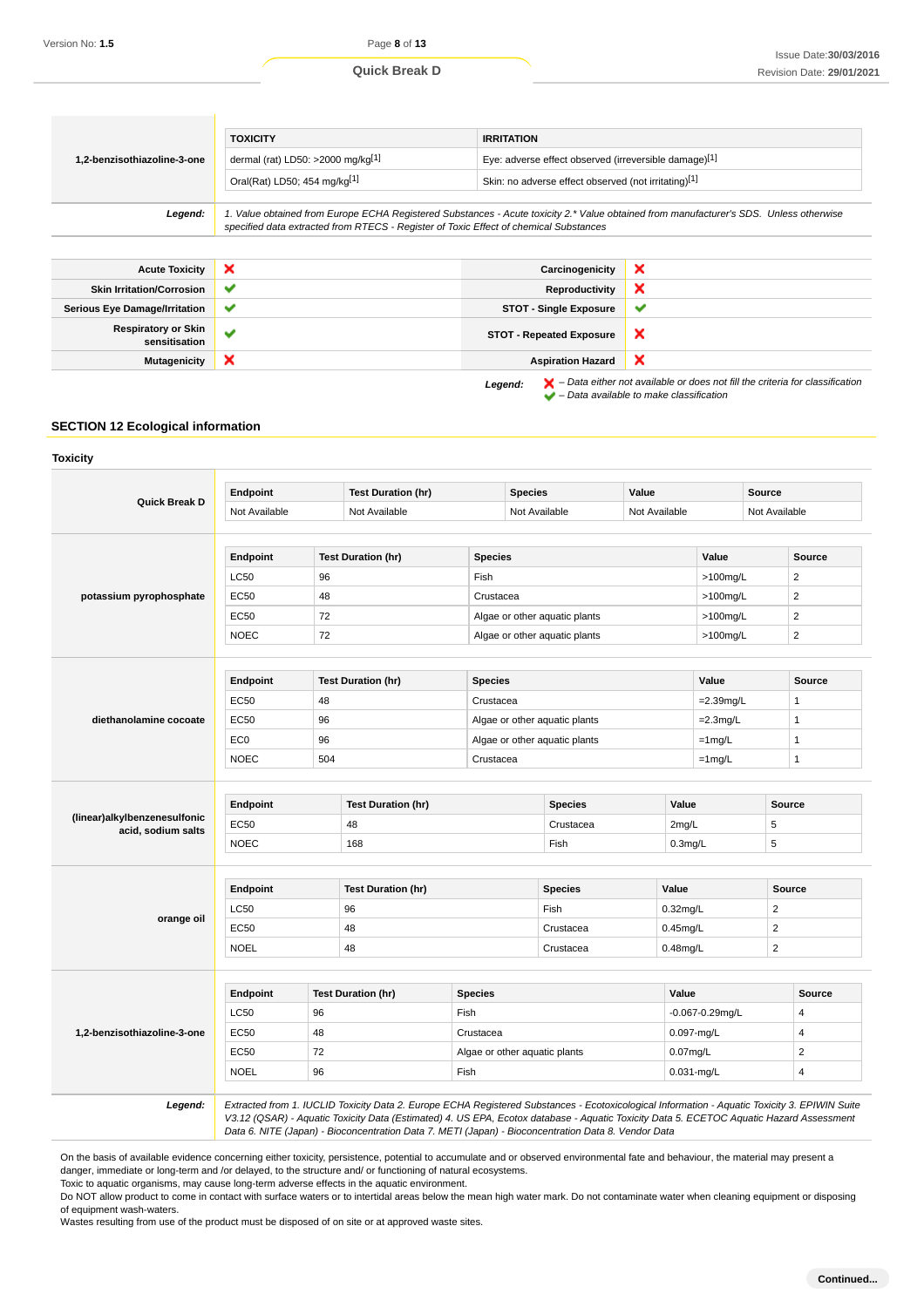|                                             | <b>TOXICITY</b>                                                                                                                                                                                                                 | <b>IRRITATION</b>                                    |              |  |  |  |
|---------------------------------------------|---------------------------------------------------------------------------------------------------------------------------------------------------------------------------------------------------------------------------------|------------------------------------------------------|--------------|--|--|--|
| 1,2-benzisothiazoline-3-one                 | dermal (rat) LD50: >2000 mg/kg[1]<br>Eye: adverse effect observed (irreversible damage)[1]                                                                                                                                      |                                                      |              |  |  |  |
|                                             | Oral(Rat) LD50; 454 mg/kg[1]                                                                                                                                                                                                    | Skin: no adverse effect observed (not irritating)[1] |              |  |  |  |
|                                             |                                                                                                                                                                                                                                 |                                                      |              |  |  |  |
| Legend:                                     | 1. Value obtained from Europe ECHA Registered Substances - Acute toxicity 2.* Value obtained from manufacturer's SDS. Unless otherwise<br>specified data extracted from RTECS - Register of Toxic Effect of chemical Substances |                                                      |              |  |  |  |
|                                             |                                                                                                                                                                                                                                 |                                                      |              |  |  |  |
| <b>Acute Toxicity</b>                       | ×                                                                                                                                                                                                                               | Carcinogenicity                                      | ×            |  |  |  |
| <b>Skin Irritation/Corrosion</b>            | ✔                                                                                                                                                                                                                               | Reproductivity                                       | ×            |  |  |  |
| <b>Serious Eye Damage/Irritation</b>        | ✔                                                                                                                                                                                                                               | <b>STOT - Single Exposure</b>                        | $\checkmark$ |  |  |  |
| <b>Respiratory or Skin</b><br>sensitisation | $\checkmark$                                                                                                                                                                                                                    | <b>STOT - Repeated Exposure</b>                      | ×            |  |  |  |
| Mutagenicity                                | ×                                                                                                                                                                                                                               | <b>Aspiration Hazard</b>                             | ×            |  |  |  |

Legend:  $\mathsf{X}$  – Data either not available or does not fill the criteria for classification  $\blacktriangleright$  – Data available to make classification

## **SECTION 12 Ecological information**

|                              | Endpoint        |     | <b>Test Duration (hr)</b> |                | <b>Species</b>                | Value       |                      | Source                  |                         |
|------------------------------|-----------------|-----|---------------------------|----------------|-------------------------------|-------------|----------------------|-------------------------|-------------------------|
| Quick Break D                | Not Available   |     | Not Available             |                | Not Available                 |             | Not Available        | Not Available           |                         |
|                              | Endpoint        |     | <b>Test Duration (hr)</b> | <b>Species</b> |                               |             | Value                |                         | <b>Source</b>           |
|                              | <b>LC50</b>     | 96  |                           |                | Fish                          |             | >100mg/L             |                         | $\overline{2}$          |
| potassium pyrophosphate      | <b>EC50</b>     | 48  |                           |                | Crustacea                     |             | >100mg/L             |                         | 2                       |
|                              | <b>EC50</b>     | 72  |                           |                | Algae or other aquatic plants |             | $>100$ mg/L          |                         | $\overline{2}$          |
|                              | <b>NOEC</b>     | 72  |                           |                | Algae or other aquatic plants |             | $>100$ mg/L          |                         | $\overline{\mathbf{c}}$ |
|                              | Endpoint        |     | <b>Test Duration (hr)</b> | <b>Species</b> |                               |             | Value                |                         | Source                  |
|                              | <b>EC50</b>     | 48  |                           |                | Crustacea                     |             | $=2.39$ mg/L         |                         | 1                       |
| diethanolamine cocoate       | <b>EC50</b>     | 96  |                           |                | Algae or other aquatic plants |             | $=2.3$ mg/L          |                         | 1                       |
|                              | EC <sub>0</sub> | 96  |                           |                | Algae or other aquatic plants |             | $=1$ mg/L            |                         | 1                       |
|                              | <b>NOEC</b>     | 504 | Crustacea                 |                |                               | $=1$ mg/L   |                      | $\mathbf{1}$            |                         |
|                              | Endpoint        |     | <b>Test Duration (hr)</b> |                | <b>Species</b>                | Value       |                      | <b>Source</b>           |                         |
| (linear)alkylbenzenesulfonic | EC50            | 48  |                           |                | Crustacea                     | 2mg/L       |                      | 5                       |                         |
| acid, sodium salts           | <b>NOEC</b>     |     | 168                       |                | Fish                          |             | $0.3$ mg/L           | 5                       |                         |
|                              | Endpoint        |     | <b>Test Duration (hr)</b> |                | <b>Species</b>                | Value       |                      | <b>Source</b>           |                         |
|                              | <b>LC50</b>     |     | 96                        |                | Fish                          | 0.32mg/L    |                      | $\overline{2}$          |                         |
| orange oil                   | <b>EC50</b>     | 48  |                           |                | Crustacea                     |             | 0.45mg/L             |                         |                         |
|                              | <b>NOEL</b>     |     | 48                        |                | Crustacea                     | $0.48$ mg/L |                      | $\overline{2}$          |                         |
|                              | Endpoint        |     | <b>Test Duration (hr)</b> | <b>Species</b> |                               | Value       |                      |                         | Source                  |
|                              | <b>LC50</b>     | 96  |                           |                | Fish                          |             | $-0.067 - 0.29$ mg/L |                         | 4                       |
| 1,2-benzisothiazoline-3-one  | EC50            | 48  |                           |                | Crustacea                     |             | 0.097-mg/L           |                         | 4                       |
|                              | <b>EC50</b>     | 72  |                           |                | Algae or other aquatic plants |             | $0.07$ mg/L          |                         | 2                       |
|                              | <b>NOEL</b>     | 96  |                           |                | Fish                          |             | $0.031$ -mg/L        | $\overline{\mathbf{4}}$ |                         |
|                              |                 |     |                           |                |                               |             |                      |                         |                         |

On the basis of available evidence concerning either toxicity, persistence, potential to accumulate and or observed environmental fate and behaviour, the material may present a danger, immediate or long-term and /or delayed, to the structure and/ or functioning of natural ecosystems.

Toxic to aquatic organisms, may cause long-term adverse effects in the aquatic environment.

Do NOT allow product to come in contact with surface waters or to intertidal areas below the mean high water mark. Do not contaminate water when cleaning equipment or disposing of equipment wash-waters.

Wastes resulting from use of the product must be disposed of on site or at approved waste sites.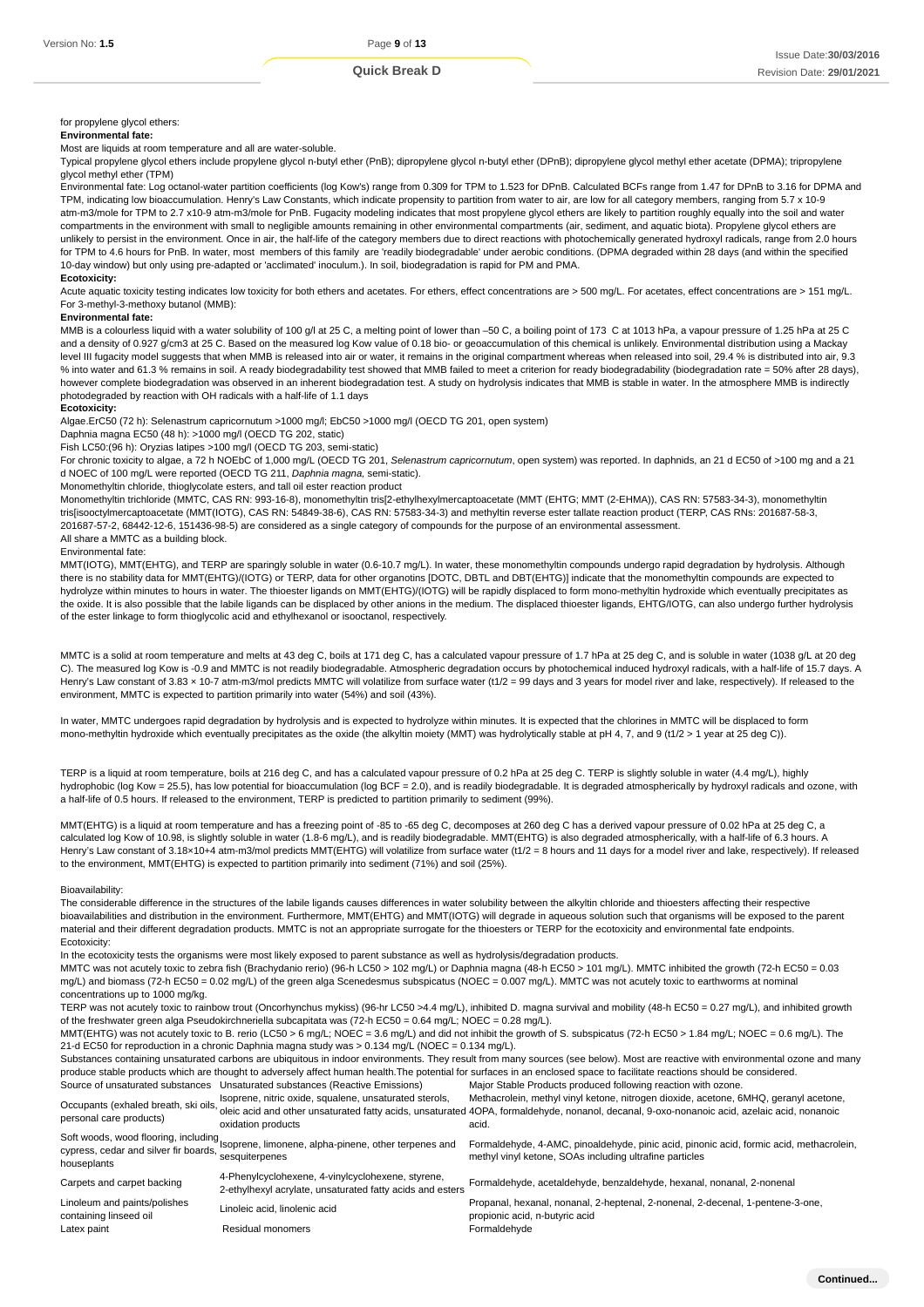#### for propylene glycol ethers:

#### **Environmental fate:**

Most are liquids at room temperature and all are water-soluble.

Typical propylene glycol ethers include propylene glycol n-butyl ether (PnB); dipropylene glycol n-butyl ether (DPnB); dipropylene glycol methyl ether acetate (DPMA); tripropylene glycol methyl ether (TPM)

Environmental fate: Log octanol-water partition coefficients (log Kow's) range from 0.309 for TPM to 1.523 for DPnB. Calculated BCFs range from 1.47 for DPnB to 3.16 for DPMA and TPM, indicating low bioaccumulation. Henry's Law Constants, which indicate propensity to partition from water to air, are low for all category members, ranging from 5.7 x 10-9 atm-m3/mole for TPM to 2.7 x10-9 atm-m3/mole for PnB. Fugacity modeling indicates that most propylene glycol ethers are likely to partition roughly equally into the soil and water compartments in the environment with small to negligible amounts remaining in other environmental compartments (air, sediment, and aquatic biota). Propylene glycol ethers are unlikely to persist in the environment. Once in air, the half-life of the category members due to direct reactions with photochemically generated hydroxyl radicals, range from 2.0 hours for TPM to 4.6 hours for PnB. In water, most members of this family are 'readily biodegradable' under aerobic conditions. (DPMA degraded within 28 days (and within the specified 10-day window) but only using pre-adapted or 'acclimated' inoculum.). In soil, biodegradation is rapid for PM and PMA.

## **Ecotoxicity:**

Acute aquatic toxicity testing indicates low toxicity for both ethers and acetates. For ethers, effect concentrations are > 500 mg/L. For acetates, effect concentrations are > 151 mg/L. For 3-methyl-3-methoxy butanol (MMB):

#### **Environmental fate:**

MMB is a colourless liquid with a water solubility of 100 g/l at 25 C, a melting point of lower than -50 C, a boiling point of 173 C at 1013 hPa, a vapour pressure of 1.25 hPa at 25 C and a density of 0.927 g/cm3 at 25 C. Based on the measured log Kow value of 0.18 bio- or geoaccumulation of this chemical is unlikely. Environmental distribution using a Mackay level III fugacity model suggests that when MMB is released into air or water, it remains in the original compartment whereas when released into soil, 29.4 % is distributed into air, 9.3 % into water and 61.3 % remains in soil. A ready biodegradability test showed that MMB failed to meet a criterion for ready biodegradability (biodegradation rate = 50% after 28 days), however complete biodegradation was observed in an inherent biodegradation test. A study on hydrolysis indicates that MMB is stable in water. In the atmosphere MMB is indirectly photodegraded by reaction with OH radicals with a half-life of 1.1 days

#### **Ecotoxicity:**

Algae.ErC50 (72 h): Selenastrum capricornutum >1000 mg/l; EbC50 >1000 mg/l (OECD TG 201, open system)

Daphnia magna EC50 (48 h): >1000 mg/l (OECD TG 202, static)

Fish LC50:(96 h): Oryzias latipes >100 mg/l (OECD TG 203, semi-static)

For chronic toxicity to algae, a 72 h NOEbC of 1,000 mg/L (OECD TG 201, Selenastrum capricornutum, open system) was reported. In daphnids, an 21 d EC50 of >100 mg and a 21 d NOEC of 100 mg/L were reported (OECD TG 211, Daphnia magna, semi-static).

Monomethyltin chloride, thioglycolate esters, and tall oil ester reaction product

Monomethyltin trichloride (MMTC, CAS RN: 993-16-8), monomethyltin tris[2-ethylhexylmercaptoacetate (MMT (EHTG; MMT (2-EHMA)), CAS RN: 57583-34-3), monomethyltin tris[isooctylmercaptoacetate (MMT(IOTG), CAS RN: 54849-38-6), CAS RN: 57583-34-3) and methyltin reverse ester tallate reaction product (TERP, CAS RNs: 201687-58-3, 201687-57-2, 68442-12-6, 151436-98-5) are considered as a single category of compounds for the purpose of an environmental assessment. All share a MMTC as a building block.

#### Environmental fate:

MMT(IOTG), MMT(EHTG), and TERP are sparingly soluble in water (0.6-10.7 mg/L). In water, these monomethyltin compounds undergo rapid degradation by hydrolysis. Although there is no stability data for MMT(EHTG)/(IOTG) or TERP, data for other organotins [DOTC, DBTL and DBT(EHTG)] indicate that the monomethyltin compounds are expected to hydrolyze within minutes to hours in water. The thioester ligands on MMT(EHTG)/(IOTG) will be rapidly displaced to form mono-methyltin hydroxide which eventually precipitates as the oxide. It is also possible that the labile ligands can be displaced by other anions in the medium. The displaced thioester ligands, EHTG/IOTG, can also undergo further hydrolysis of the ester linkage to form thioglycolic acid and ethylhexanol or isooctanol, respectively.

MMTC is a solid at room temperature and melts at 43 deg C, boils at 171 deg C, has a calculated vapour pressure of 1.7 hPa at 25 deg C, and is soluble in water (1038 g/L at 20 deg C). The measured log Kow is -0.9 and MMTC is not readily biodegradable. Atmospheric degradation occurs by photochemical induced hydroxyl radicals, with a half-life of 15.7 days. A Henry's Law constant of 3.83 x 10-7 atm-m3/mol predicts MMTC will volatilize from surface water (t1/2 = 99 days and 3 years for model river and lake, respectively). If released to the environment, MMTC is expected to partition primarily into water (54%) and soil (43%).

In water, MMTC undergoes rapid degradation by hydrolysis and is expected to hydrolyze within minutes. It is expected that the chlorines in MMTC will be displaced to form mono-methyltin hydroxide which eventually precipitates as the oxide (the alkyltin moiety (MMT) was hydrolytically stable at pH 4, 7, and 9 (t1/2 > 1 year at 25 deg C)).

TERP is a liquid at room temperature, boils at 216 deg C, and has a calculated vapour pressure of 0.2 hPa at 25 deg C. TERP is slightly soluble in water (4.4 mg/L), highly hydrophobic (log Kow = 25.5), has low potential for bioaccumulation (log BCF = 2.0), and is readily biodegradable. It is degraded atmospherically by hydroxyl radicals and ozone, with a half-life of 0.5 hours. If released to the environment, TERP is predicted to partition primarily to sediment (99%).

MMT(EHTG) is a liquid at room temperature and has a freezing point of -85 to -65 deg C, decomposes at 260 deg C has a derived vapour pressure of 0.02 hPa at 25 deg C, a calculated log Kow of 10.98, is slightly soluble in water (1.8-6 mg/L), and is readily biodegradable. MMT(EHTG) is also degraded atmospherically, with a half-life of 6.3 hours. A Henry's Law constant of 3.18×10+4 atm-m3/mol predicts MMT(EHTG) will volatilize from surface water (t1/2 = 8 hours and 11 days for a model river and lake, respectively). If released to the environment, MMT(EHTG) is expected to partition primarily into sediment (71%) and soil (25%).

#### Bioavailability:

The considerable difference in the structures of the labile ligands causes differences in water solubility between the alkyltin chloride and thioesters affecting their respective bioavailabilities and distribution in the environment. Furthermore, MMT(EHTG) and MMT(IOTG) will degrade in aqueous solution such that organisms will be exposed to the parent material and their different degradation products. MMTC is not an appropriate surrogate for the thioesters or TERP for the ecotoxicity and environmental fate endpoints. Ecotoxicity:

In the ecotoxicity tests the organisms were most likely exposed to parent substance as well as hydrolysis/degradation products.

MMTC was not acutely toxic to zebra fish (Brachydanio rerio) (96-h LC50 > 102 mg/L) or Daphnia magna (48-h EC50 > 101 mg/L). MMTC inhibited the growth (72-h EC50 = 0.03 mg/L) and biomass (72-h EC50 = 0.02 mg/L) of the green alga Scenedesmus subspicatus (NOEC = 0.007 mg/L). MMTC was not acutely toxic to earthworms at nominal concentrations up to 1000 mg/kg.

TERP was not acutely toxic to rainbow trout (Oncorhynchus mykiss) (96-hr LC50 >4.4 mg/L), inhibited D. magna survival and mobility (48-h EC50 = 0.27 mg/L), and inhibited growth of the freshwater green alga Pseudokirchneriella subcapitata was (72-h EC50 = 0.64 mg/L; NOEC = 0.28 mg/L).

MMT(EHTG) was not acutely toxic to B. rerio (LC50 > 6 mg/L; NOEC = 3.6 mg/L) and did not inhibit the growth of S. subspicatus (72-h EC50 > 1.84 mg/L; NOEC = 0.6 mg/L). The 21-d EC50 for reproduction in a chronic Daphnia magna study was > 0.134 mg/L (NOEC = 0.134 mg/L).

Substances containing unsaturated carbons are ubiquitous in indoor environments. They result from many sources (see below). Most are reactive with environmental ozone and many produce stable products which are thought to adversely affect human health.The potential for surfaces in an enclosed space to facilitate reactions should be considered.

| Source of unsaturated substances                       | Unsaturated substances (Reactive Emissions)                                                                    | Major Stable Products produced following reaction with ozone.                                                                                                                                                                                                                                                                  |
|--------------------------------------------------------|----------------------------------------------------------------------------------------------------------------|--------------------------------------------------------------------------------------------------------------------------------------------------------------------------------------------------------------------------------------------------------------------------------------------------------------------------------|
|                                                        | Isoprene, nitric oxide, squalene, unsaturated sterols,<br>oxidation products                                   | Methacrolein, methyl vinyl ketone, nitrogen dioxide, acetone, 6MHQ, geranyl acetone,<br>Occupants (exhaled breath, ski oils, bounding, intervalues, expending, encouncies concerns, encouncies and provided that yields, instituted 40PA, formaldehyde, nonanol, decanal, 9-oxo-nonanoic acid, azelaic acid, nonanoic<br>acid. |
| cypress, cedar and silver fir boards,<br>houseplants   | Soft woods, wood flooring, including<br>soprene, limonene, alpha-pinene, other terpenes and<br>sesquiterpenes  | Formaldehyde, 4-AMC, pinoaldehyde, pinic acid, pinonic acid, formic acid, methacrolein,<br>methyl vinyl ketone, SOAs including ultrafine particles                                                                                                                                                                             |
| Carpets and carpet backing                             | 4-Phenylcyclohexene, 4-vinylcyclohexene, styrene,<br>2-ethylhexyl acrylate, unsaturated fatty acids and esters | Formaldehyde, acetaldehyde, benzaldehyde, hexanal, nonanal, 2-nonenal                                                                                                                                                                                                                                                          |
| Linoleum and paints/polishes<br>containing linseed oil | Linoleic acid, linolenic acid                                                                                  | Propanal, hexanal, nonanal, 2-heptenal, 2-nonenal, 2-decenal, 1-pentene-3-one,<br>propionic acid, n-butyric acid                                                                                                                                                                                                               |
| Latex paint                                            | Residual monomers                                                                                              | Formaldehyde                                                                                                                                                                                                                                                                                                                   |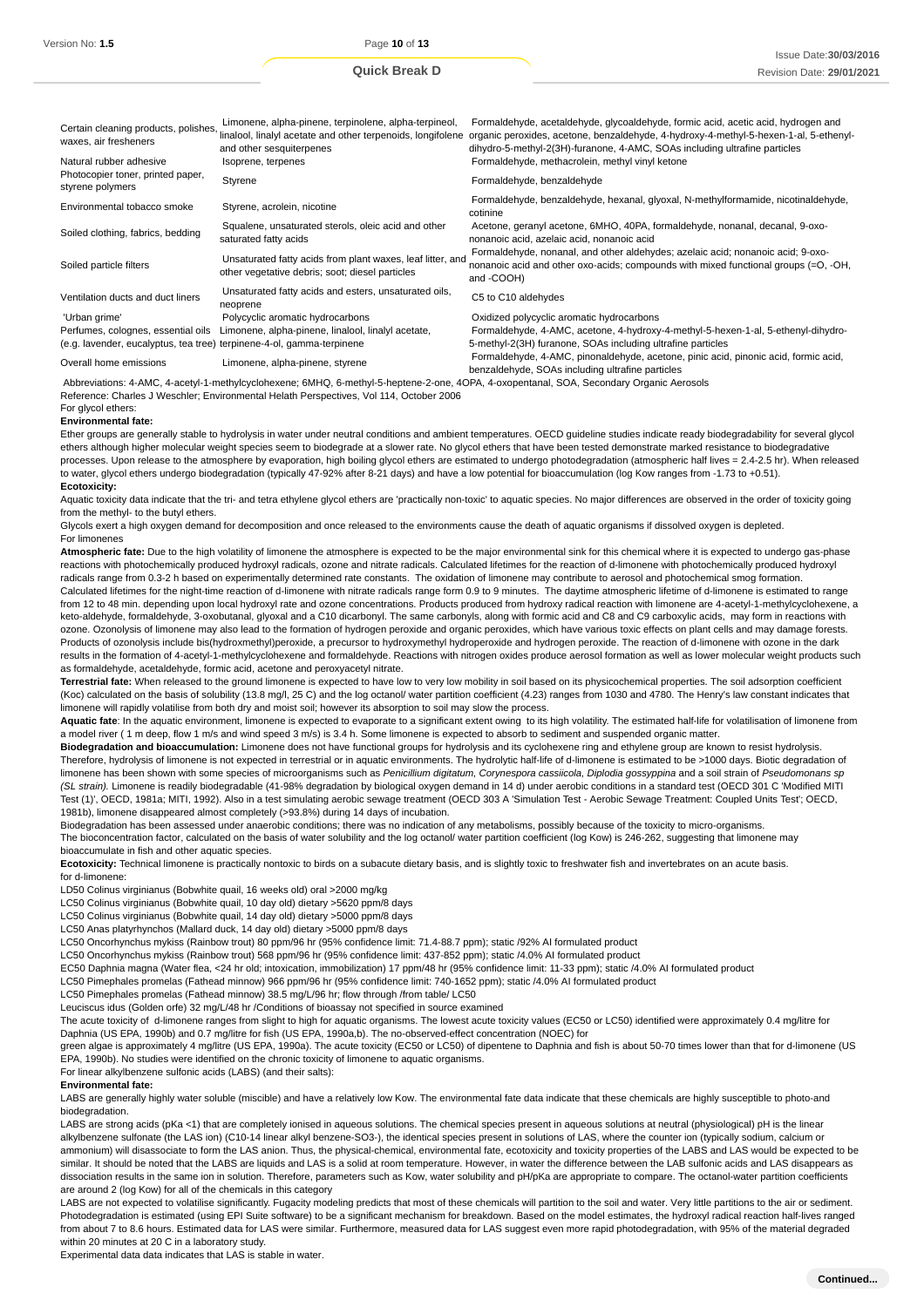| Certain cleaning products, polishes,<br>waxes, air fresheners         | Limonene, alpha-pinene, terpinolene, alpha-terpineol,<br>linalool, linalyl acetate and other terpenoids, longifolene<br>and other sesquiterpenes | Formaldehyde, acetaldehyde, glycoaldehyde, formic acid, acetic acid, hydrogen and<br>organic peroxides, acetone, benzaldehyde, 4-hydroxy-4-methyl-5-hexen-1-al, 5-ethenyl-<br>dihydro-5-methyl-2(3H)-furanone, 4-AMC, SOAs including ultrafine particles |
|-----------------------------------------------------------------------|--------------------------------------------------------------------------------------------------------------------------------------------------|----------------------------------------------------------------------------------------------------------------------------------------------------------------------------------------------------------------------------------------------------------|
| Natural rubber adhesive                                               | Isoprene, terpenes                                                                                                                               | Formaldehyde, methacrolein, methyl vinyl ketone                                                                                                                                                                                                          |
| Photocopier toner, printed paper,<br>styrene polymers                 | Styrene                                                                                                                                          | Formaldehyde, benzaldehyde                                                                                                                                                                                                                               |
| Environmental tobacco smoke                                           | Styrene, acrolein, nicotine                                                                                                                      | Formaldehyde, benzaldehyde, hexanal, glyoxal, N-methylformamide, nicotinaldehyde,<br>cotinine                                                                                                                                                            |
| Soiled clothing, fabrics, bedding                                     | Squalene, unsaturated sterols, oleic acid and other<br>saturated fatty acids                                                                     | Acetone, geranyl acetone, 6MHO, 40PA, formaldehyde, nonanal, decanal, 9-oxo-<br>nonanoic acid, azelaic acid, nonanoic acid                                                                                                                               |
| Soiled particle filters                                               | Unsaturated fatty acids from plant waxes, leaf litter, and<br>other vegetative debris; soot; diesel particles                                    | Formaldehyde, nonanal, and other aldehydes; azelaic acid; nonanoic acid; 9-oxo-<br>nonanoic acid and other oxo-acids; compounds with mixed functional groups $(=0, -OH,$<br>and -COOH)                                                                   |
| Ventilation ducts and duct liners                                     | Unsaturated fatty acids and esters, unsaturated oils,<br>neoprene                                                                                | C5 to C10 aldehydes                                                                                                                                                                                                                                      |
| 'Urban grime'                                                         | Polycyclic aromatic hydrocarbons                                                                                                                 | Oxidized polycyclic aromatic hydrocarbons                                                                                                                                                                                                                |
| Perfumes, colognes, essential oils                                    | Limonene, alpha-pinene, linalool, linalyl acetate,                                                                                               | Formaldehyde, 4-AMC, acetone, 4-hydroxy-4-methyl-5-hexen-1-al, 5-ethenyl-dihydro-                                                                                                                                                                        |
| (e.g. lavender, eucalyptus, tea tree) terpinene-4-ol, gamma-terpinene |                                                                                                                                                  | 5-methyl-2(3H) furanone, SOAs including ultrafine particles                                                                                                                                                                                              |
| Overall home emissions                                                | Limonene, alpha-pinene, styrene                                                                                                                  | Formaldehyde, 4-AMC, pinonaldehyde, acetone, pinic acid, pinonic acid, formic acid,<br>benzaldehyde. SOAs including ultrafine particles                                                                                                                  |

Abbreviations: 4-AMC, 4-acetyl-1-methylcyclohexene; 6MHQ, 6-methyl-5-heptene-2-one, 4OPA, 4-oxopentanal, SOA, Secondary Organic Aerosols

Reference: Charles J Weschler; Environmental Helath Perspectives, Vol 114, October 2006

For glycol ethers: **Environmental fate:**

Ether groups are generally stable to hydrolysis in water under neutral conditions and ambient temperatures. OECD guideline studies indicate ready biodegradability for several glycol ethers although higher molecular weight species seem to biodegrade at a slower rate. No glycol ethers that have been tested demonstrate marked resistance to biodegradative processes. Upon release to the atmosphere by evaporation, high boiling glycol ethers are estimated to undergo photodegradation (atmospheric half lives = 2.4-2.5 hr). When released to water, glycol ethers undergo biodegradation (typically 47-92% after 8-21 days) and have a low potential for bioaccumulation (log Kow ranges from -1.73 to +0.51). **Ecotoxicity:**

Aquatic toxicity data indicate that the tri- and tetra ethylene glycol ethers are 'practically non-toxic' to aquatic species. No major differences are observed in the order of toxicity going from the methyl- to the butyl ethers.

Glycols exert a high oxygen demand for decomposition and once released to the environments cause the death of aquatic organisms if dissolved oxygen is depleted. For limonenes

**Atmospheric fate:** Due to the high volatility of limonene the atmosphere is expected to be the major environmental sink for this chemical where it is expected to undergo gas-phase reactions with photochemically produced hydroxyl radicals, ozone and nitrate radicals. Calculated lifetimes for the reaction of d-limonene with photochemically produced hydroxyl radicals range from 0.3-2 h based on experimentally determined rate constants. The oxidation of limonene may contribute to aerosol and photochemical smog formation. Calculated lifetimes for the night-time reaction of d-limonene with nitrate radicals range form 0.9 to 9 minutes. The daytime atmospheric lifetime of d-limonene is estimated to range from 12 to 48 min. depending upon local hydroxyl rate and ozone concentrations. Products produced from hydroxy radical reaction with limonene are 4-acetyl-1-methylcyclohexene, a keto-aldehyde, formaldehyde, 3-oxobutanal, glyoxal and a C10 dicarbonyl. The same carbonyls, along with formic acid and C8 and C9 carboxylic acids, may form in reactions with

ozone. Ozonolysis of limonene may also lead to the formation of hydrogen peroxide and organic peroxides, which have various toxic effects on plant cells and may damage forests. Products of ozonolysis include bis(hydroxmethyl)peroxide, a precursor to hydroxymethyl hydroperoxide and hydrogen peroxide. The reaction of d-limonene with ozone in the dark results in the formation of 4-acetyl-1-methylcyclohexene and formaldehyde. Reactions with nitrogen oxides produce aerosol formation as well as lower molecular weight products such as formaldehyde, acetaldehyde, formic acid, acetone and peroxyacetyl nitrate.

**Terrestrial fate:** When released to the ground limonene is expected to have low to very low mobility in soil based on its physicochemical properties. The soil adsorption coefficient (Koc) calculated on the basis of solubility (13.8 mg/l, 25 C) and the log octanol/ water partition coefficient (4.23) ranges from 1030 and 4780. The Henry's law constant indicates that limonene will rapidly volatilise from both dry and moist soil; however its absorption to soil may slow the process.

**Aquatic fate**: In the aquatic environment, limonene is expected to evaporate to a significant extent owing to its high volatility. The estimated half-life for volatilisation of limonene from a model river (1 m deep, flow 1 m/s and wind speed 3 m/s) is 3.4 h. Some limonene is expected to absorb to sediment and suspended organic matter.

**Biodegradation and bioaccumulation:** Limonene does not have functional groups for hydrolysis and its cyclohexene ring and ethylene group are known to resist hydrolysis. Therefore, hydrolysis of limonene is not expected in terrestrial or in aquatic environments. The hydrolytic half-life of d-limonene is estimated to be >1000 days. Biotic degradation of limonene has been shown with some species of microorganisms such as Penicillium digitatum, Corynespora cassiicola, Diplodia gossyppina and a soil strain of Pseudomonans sp (SL strain). Limonene is readily biodegradable (41-98% degradation by biological oxygen demand in 14 d) under aerobic conditions in a standard test (OECD 301 C 'Modified MITI Test (1)', OECD, 1981a; MITI, 1992). Also in a test simulating aerobic sewage treatment (OECD 303 A 'Simulation Test - Aerobic Sewage Treatment: Coupled Units Test'; OECD, 1981b), limonene disappeared almost completely (>93.8%) during 14 days of incubation.

Biodegradation has been assessed under anaerobic conditions; there was no indication of any metabolisms, possibly because of the toxicity to micro-organisms. The bioconcentration factor, calculated on the basis of water solubility and the log octanol/ water partition coefficient (log Kow) is 246-262, suggesting that limonene may bioaccumulate in fish and other aquatic species.

Ecotoxicity: Technical limonene is practically nontoxic to birds on a subacute dietary basis, and is slightly toxic to freshwater fish and invertebrates on an acute basis. for d-limonene:

LD50 Colinus virginianus (Bobwhite quail, 16 weeks old) oral >2000 mg/kg

LC50 Colinus virginianus (Bobwhite quail, 10 day old) dietary >5620 ppm/8 days

LC50 Colinus virginianus (Bobwhite quail, 14 day old) dietary >5000 ppm/8 days

LC50 Anas platyrhynchos (Mallard duck, 14 day old) dietary >5000 ppm/8 days

LC50 Oncorhynchus mykiss (Rainbow trout) 80 ppm/96 hr (95% confidence limit: 71.4-88.7 ppm); static /92% AI formulated product

LC50 Oncorhynchus mykiss (Rainbow trout) 568 ppm/96 hr (95% confidence limit: 437-852 ppm); static /4.0% AI formulated product

EC50 Daphnia magna (Water flea, <24 hr old; intoxication, immobilization) 17 ppm/48 hr (95% confidence limit: 11-33 ppm); static /4.0% AI formulated product

LC50 Pimephales promelas (Fathead minnow) 966 ppm/96 hr (95% confidence limit: 740-1652 ppm); static /4.0% AI formulated product

LC50 Pimephales promelas (Fathead minnow) 38.5 mg/L/96 hr; flow through /from table/ LC50

Leuciscus idus (Golden orfe) 32 mg/L/48 hr /Conditions of bioassay not specified in source examined

The acute toxicity of d-limonene ranges from slight to high for aquatic organisms. The lowest acute toxicity values (EC50 or LC50) identified were approximately 0.4 mg/litre for Daphnia (US EPA, 1990b) and 0.7 mg/litre for fish (US EPA, 1990a,b). The no-observed-effect concentration (NOEC) for

green algae is approximately 4 mg/litre (US EPA, 1990a). The acute toxicity (EC50 or LC50) of dipentene to Daphnia and fish is about 50-70 times lower than that for d-limonene (US EPA, 1990b). No studies were identified on the chronic toxicity of limonene to aquatic organisms.

For linear alkylbenzene sulfonic acids (LABS) (and their salts):

#### **Environmental fate:**

LABS are generally highly water soluble (miscible) and have a relatively low Kow. The environmental fate data indicate that these chemicals are highly susceptible to photo-and biodegradation.

LABS are strong acids (pKa <1) that are completely ionised in aqueous solutions. The chemical species present in aqueous solutions at neutral (physiological) pH is the linear alkylbenzene sulfonate (the LAS ion) (C10-14 linear alkyl benzene-SO3-), the identical species present in solutions of LAS, where the counter ion (typically sodium, calcium or ammonium) will disassociate to form the LAS anion. Thus, the physical-chemical, environmental fate, ecotoxicity and toxicity properties of the LABS and LAS would be expected to be similar. It should be noted that the LABS are liquids and LAS is a solid at room temperature. However, in water the difference between the LAB sulfonic acids and LAS disappears as dissociation results in the same ion in solution. Therefore, parameters such as Kow, water solubility and pH/pKa are appropriate to compare. The octanol-water partition coefficients are around 2 (log Kow) for all of the chemicals in this category

LABS are not expected to volatilise significantly. Fugacity modeling predicts that most of these chemicals will partition to the soil and water. Very little partitions to the air or sediment. Photodegradation is estimated (using EPI Suite software) to be a significant mechanism for breakdown. Based on the model estimates, the hydroxyl radical reaction half-lives ranged from about 7 to 8.6 hours. Estimated data for LAS were similar. Furthermore, measured data for LAS suggest even more rapid photodegradation, with 95% of the material degraded within 20 minutes at 20 C in a laboratory study.

Experimental data data indicates that LAS is stable in water.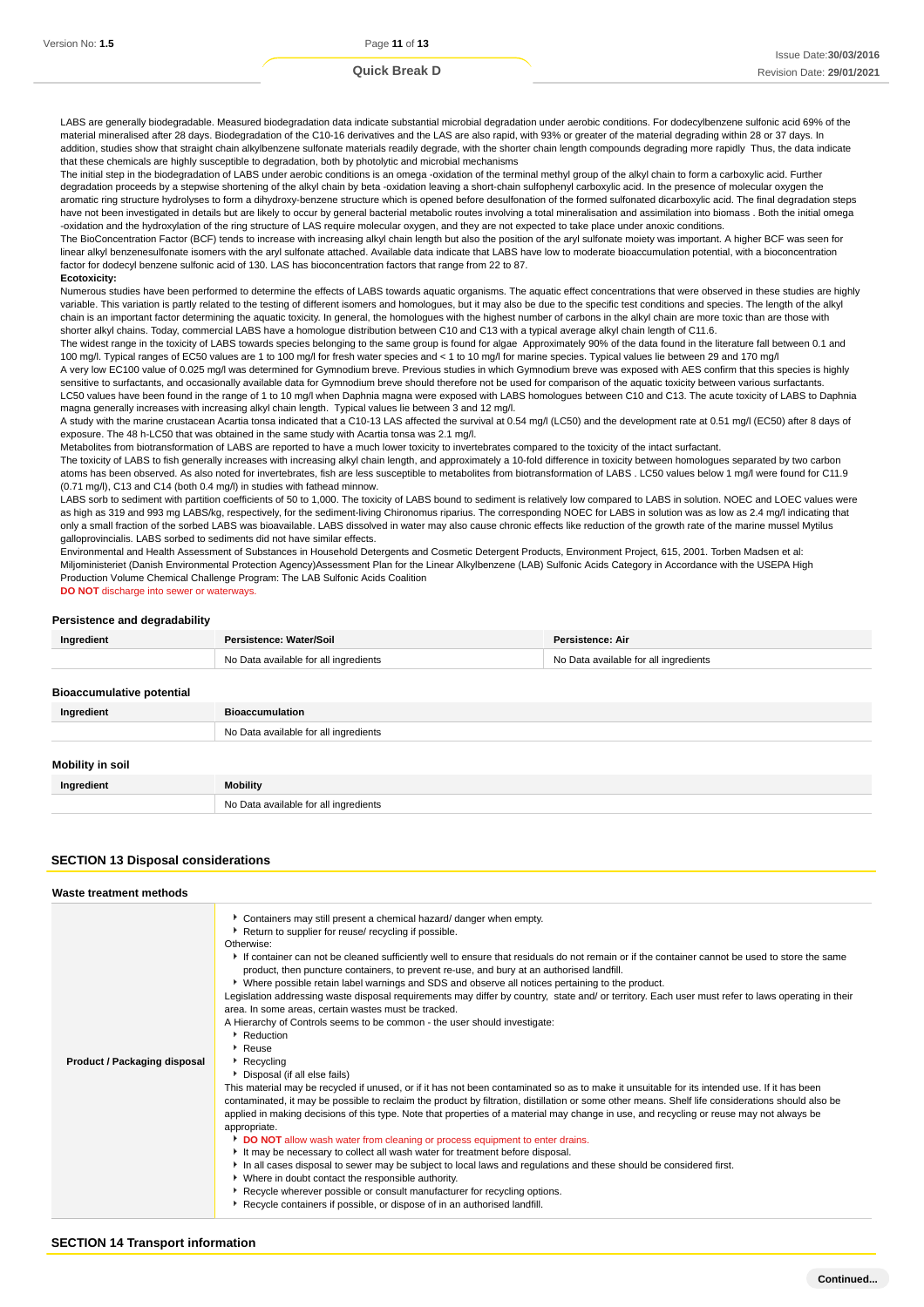LABS are generally biodegradable. Measured biodegradation data indicate substantial microbial degradation under aerobic conditions. For dodecylbenzene sulfonic acid 69% of the material mineralised after 28 days. Biodegradation of the C10-16 derivatives and the LAS are also rapid, with 93% or greater of the material degrading within 28 or 37 days. In addition, studies show that straight chain alkylbenzene sulfonate materials readily degrade, with the shorter chain length compounds degrading more rapidly Thus, the data indicate that these chemicals are highly susceptible to degradation, both by photolytic and microbial mechanisms

The initial step in the biodegradation of LABS under aerobic conditions is an omega -oxidation of the terminal methyl group of the alkyl chain to form a carboxylic acid. Further degradation proceeds by a stepwise shortening of the alkyl chain by beta -oxidation leaving a short-chain sulfophenyl carboxylic acid. In the presence of molecular oxygen the aromatic ring structure hydrolyses to form a dihydroxy-benzene structure which is opened before desulfonation of the formed sulfonated dicarboxylic acid. The final degradation steps have not been investigated in details but are likely to occur by general bacterial metabolic routes involving a total mineralisation and assimilation into biomass . Both the initial omega -oxidation and the hydroxylation of the ring structure of LAS require molecular oxygen, and they are not expected to take place under anoxic conditions.

The BioConcentration Factor (BCF) tends to increase with increasing alkyl chain length but also the position of the aryl sulfonate moiety was important. A higher BCF was seen for linear alkyl benzenesulfonate isomers with the aryl sulfonate attached. Available data indicate that LABS have low to moderate bioaccumulation potential, with a bioconcentration factor for dodecyl benzene sulfonic acid of 130. LAS has bioconcentration factors that range from 22 to 87. **Ecotoxicity:**

Numerous studies have been performed to determine the effects of LABS towards aquatic organisms. The aquatic effect concentrations that were observed in these studies are highly variable. This variation is partly related to the testing of different isomers and homologues, but it may also be due to the specific test conditions and species. The length of the alkyl chain is an important factor determining the aquatic toxicity. In general, the homologues with the highest number of carbons in the alkyl chain are more toxic than are those with shorter alkyl chains. Today, commercial LABS have a homologue distribution between C10 and C13 with a typical average alkyl chain length of C11.6.

The widest range in the toxicity of LABS towards species belonging to the same group is found for algae Approximately 90% of the data found in the literature fall between 0.1 and 100 mg/l. Typical ranges of EC50 values are 1 to 100 mg/l for fresh water species and < 1 to 10 mg/l for marine species. Typical values lie between 29 and 170 mg/l A very low EC100 value of 0.025 mg/l was determined for Gymnodium breve. Previous studies in which Gymnodium breve was exposed with AES confirm that this species is highly

sensitive to surfactants, and occasionally available data for Gymnodium breve should therefore not be used for comparison of the aquatic toxicity between various surfactants. LC50 values have been found in the range of 1 to 10 mg/l when Daphnia magna were exposed with LABS homologues between C10 and C13. The acute toxicity of LABS to Daphnia magna generally increases with increasing alkyl chain length. Typical values lie between 3 and 12 mg/l.

A study with the marine crustacean Acartia tonsa indicated that a C10-13 LAS affected the survival at 0.54 mg/l (LC50) and the development rate at 0.51 mg/l (EC50) after 8 days of exposure. The 48 h-LC50 that was obtained in the same study with Acartia tonsa was 2.1 mg/l.

Metabolites from biotransformation of LABS are reported to have a much lower toxicity to invertebrates compared to the toxicity of the intact surfactant.

The toxicity of LABS to fish generally increases with increasing alkyl chain length, and approximately a 10-fold difference in toxicity between homologues separated by two carbon atoms has been observed. As also noted for invertebrates, fish are less susceptible to metabolites from biotransformation of LABS . LC50 values below 1 mg/l were found for C11.9 (0.71 mg/l), C13 and C14 (both 0.4 mg/l) in studies with fathead minnow.

LABS sorb to sediment with partition coefficients of 50 to 1,000. The toxicity of LABS bound to sediment is relatively low compared to LABS in solution. NOEC and LOEC values were as high as 319 and 993 mg LABS/kg, respectively, for the sediment-living Chironomus riparius. The corresponding NOEC for LABS in solution was as low as 2.4 mg/l indicating that only a small fraction of the sorbed LABS was bioavailable. LABS dissolved in water may also cause chronic effects like reduction of the growth rate of the marine mussel Mytilus galloprovincialis. LABS sorbed to sediments did not have similar effects.

Environmental and Health Assessment of Substances in Household Detergents and Cosmetic Detergent Products, Environment Project, 615, 2001. Torben Madsen et al: Miljoministeriet (Danish Environmental Protection Agency)Assessment Plan for the Linear Alkylbenzene (LAB) Sulfonic Acids Category in Accordance with the USEPA High Production Volume Chemical Challenge Program: The LAB Sulfonic Acids Coalition

**DO NOT** discharge into sewer or waterways

#### **Persistence and degradability**

| Ingredient | Persistence: Water/Soil               | Persistence: Air                      |
|------------|---------------------------------------|---------------------------------------|
|            | No Data available for all ingredients | No Data available for all ingredients |
|            |                                       |                                       |

# **Ingredient Bioaccumulation Ingredient Mobility Bioaccumulative potential** No Data available for all ingredients **Mobility in soil** No Data available for all ingredients

#### **SECTION 13 Disposal considerations**

| Waste treatment methods      |                                                                                                                                                                                                                                                                                                                                                                                                                                                                                                                                                                                                                                                                                                                                                                                                                                                                                                                                                                                                                                                                                                                                                                                                                                                                                                                                                                                                                                                                                                                                                                                                                                                                                                                                                                                                                                                  |
|------------------------------|--------------------------------------------------------------------------------------------------------------------------------------------------------------------------------------------------------------------------------------------------------------------------------------------------------------------------------------------------------------------------------------------------------------------------------------------------------------------------------------------------------------------------------------------------------------------------------------------------------------------------------------------------------------------------------------------------------------------------------------------------------------------------------------------------------------------------------------------------------------------------------------------------------------------------------------------------------------------------------------------------------------------------------------------------------------------------------------------------------------------------------------------------------------------------------------------------------------------------------------------------------------------------------------------------------------------------------------------------------------------------------------------------------------------------------------------------------------------------------------------------------------------------------------------------------------------------------------------------------------------------------------------------------------------------------------------------------------------------------------------------------------------------------------------------------------------------------------------------|
| Product / Packaging disposal | Containers may still present a chemical hazard/ danger when empty.<br>Return to supplier for reuse/ recycling if possible.<br>Otherwise:<br>If container can not be cleaned sufficiently well to ensure that residuals do not remain or if the container cannot be used to store the same<br>product, then puncture containers, to prevent re-use, and bury at an authorised landfill.<br>▶ Where possible retain label warnings and SDS and observe all notices pertaining to the product.<br>Legislation addressing waste disposal requirements may differ by country, state and/ or territory. Each user must refer to laws operating in their<br>area. In some areas, certain wastes must be tracked.<br>A Hierarchy of Controls seems to be common - the user should investigate:<br>Reduction<br>Reuse<br>$\triangleright$ Recycling<br>Disposal (if all else fails)<br>This material may be recycled if unused, or if it has not been contaminated so as to make it unsuitable for its intended use. If it has been<br>contaminated, it may be possible to reclaim the product by filtration, distillation or some other means. Shelf life considerations should also be<br>applied in making decisions of this type. Note that properties of a material may change in use, and recycling or reuse may not always be<br>appropriate.<br>DO NOT allow wash water from cleaning or process equipment to enter drains.<br>It may be necessary to collect all wash water for treatment before disposal.<br>In all cases disposal to sewer may be subject to local laws and regulations and these should be considered first.<br>• Where in doubt contact the responsible authority.<br>▶ Recycle wherever possible or consult manufacturer for recycling options.<br>Recycle containers if possible, or dispose of in an authorised landfill. |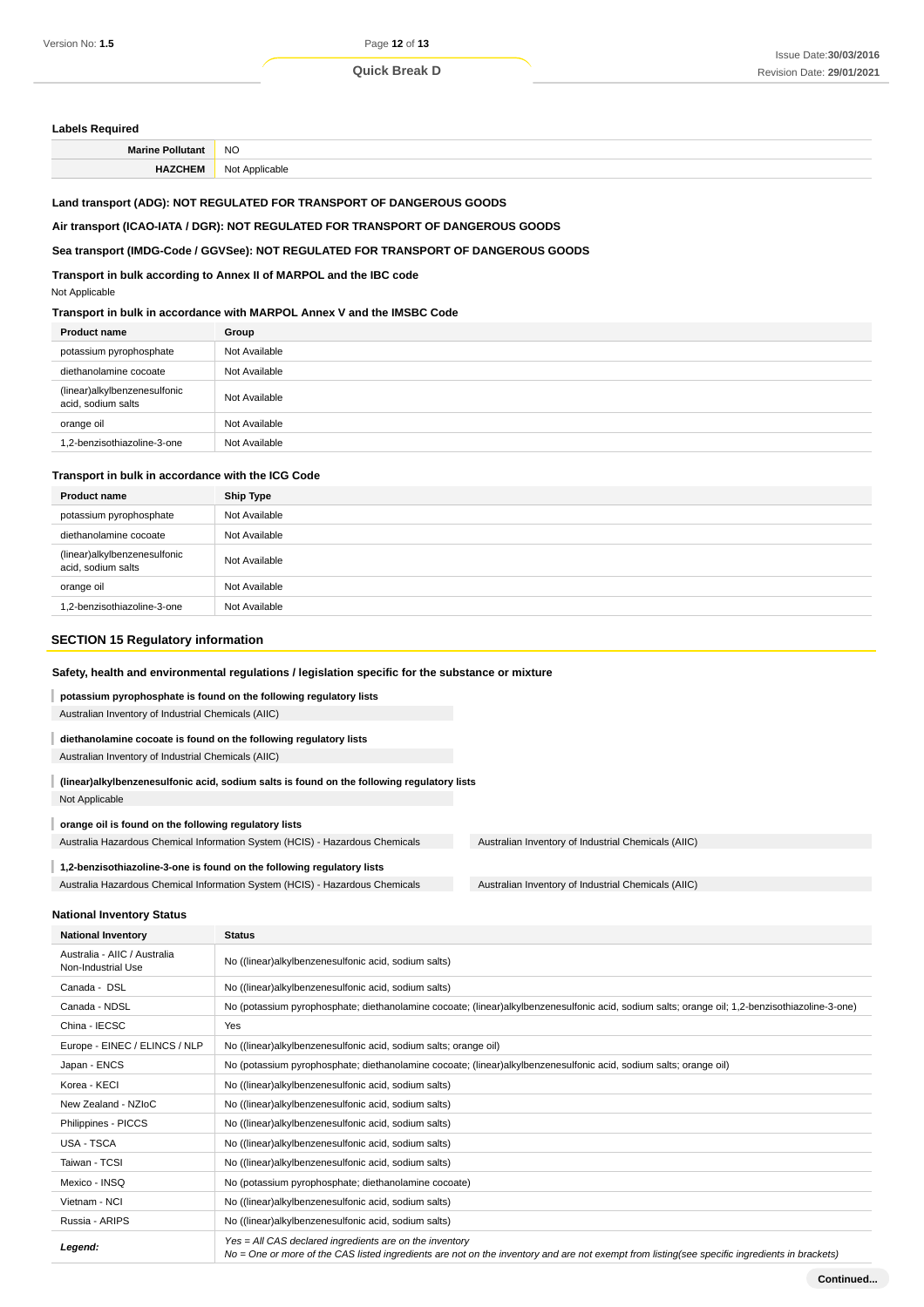#### **Labels Required**

| <b>NC</b><br>$-$ |
|------------------|
| NIZ              |

## **Land transport (ADG): NOT REGULATED FOR TRANSPORT OF DANGEROUS GOODS**

#### **Air transport (ICAO-IATA / DGR): NOT REGULATED FOR TRANSPORT OF DANGEROUS GOODS**

## **Sea transport (IMDG-Code / GGVSee): NOT REGULATED FOR TRANSPORT OF DANGEROUS GOODS**

**Transport in bulk according to Annex II of MARPOL and the IBC code**

#### Not Applicable

## **Transport in bulk in accordance with MARPOL Annex V and the IMSBC Code**

| <b>Product name</b>                                | Group         |
|----------------------------------------------------|---------------|
| potassium pyrophosphate                            | Not Available |
| diethanolamine cocoate                             | Not Available |
| (linear)alkylbenzenesulfonic<br>acid, sodium salts | Not Available |
| orange oil                                         | Not Available |
| 1.2-benzisothiazoline-3-one                        | Not Available |

### **Transport in bulk in accordance with the ICG Code**

| <b>Product name</b>                                | <b>Ship Type</b> |
|----------------------------------------------------|------------------|
| potassium pyrophosphate                            | Not Available    |
| diethanolamine cocoate                             | Not Available    |
| (linear)alkylbenzenesulfonic<br>acid, sodium salts | Not Available    |
| orange oil                                         | Not Available    |
| 1.2-benzisothiazoline-3-one                        | Not Available    |

#### **SECTION 15 Regulatory information**

## **Safety, health and environmental regulations / legislation specific for the substance or mixture**

## **potassium pyrophosphate is found on the following regulatory lists**

Australian Inventory of Industrial Chemicals (AIIC)

## **diethanolamine cocoate is found on the following regulatory lists**

Australian Inventory of Industrial Chemicals (AIIC)

# **(linear)alkylbenzenesulfonic acid, sodium salts is found on the following regulatory lists**

Not Applicable

I

#### **orange oil is found on the following regulatory lists**

Australia Hazardous Chemical Information System (HCIS) - Hazardous Chemicals Australian Inventory of Industrial Chemicals (AIIC)

## **1,2-benzisothiazoline-3-one is found on the following regulatory lists** Australia Hazardous Chemical Information System (HCIS) - Hazardous Chemicals Australian Inventory of Industrial Chemicals (AIIC)

#### **National Inventory Status**

| <b>National Inventory</b>                          | <b>Status</b>                                                                                                                                                                                            |
|----------------------------------------------------|----------------------------------------------------------------------------------------------------------------------------------------------------------------------------------------------------------|
| Australia - AIIC / Australia<br>Non-Industrial Use | No ((linear)alkylbenzenesulfonic acid, sodium salts)                                                                                                                                                     |
| Canada - DSL                                       | No ((linear)alkylbenzenesulfonic acid, sodium salts)                                                                                                                                                     |
| Canada - NDSL                                      | No (potassium pyrophosphate; diethanolamine cocoate; (linear)alkylbenzenesulfonic acid, sodium salts; orange oil; 1,2-benzisothiazoline-3-one)                                                           |
| China - IECSC                                      | Yes                                                                                                                                                                                                      |
| Europe - EINEC / ELINCS / NLP                      | No ((linear) alkylbenzenesulfonic acid, sodium salts; orange oil)                                                                                                                                        |
| Japan - ENCS                                       | No (potassium pyrophosphate; diethanolamine cocoate; (linear)alkylbenzenesulfonic acid, sodium salts; orange oil)                                                                                        |
| Korea - KECI                                       | No ((linear)alkylbenzenesulfonic acid, sodium salts)                                                                                                                                                     |
| New Zealand - NZIoC                                | No ((linear) alkylbenzenes ulfonic acid, sodium salts)                                                                                                                                                   |
| Philippines - PICCS                                | No ((linear)alkylbenzenesulfonic acid, sodium salts)                                                                                                                                                     |
| USA - TSCA                                         | No ((linear)alkylbenzenesulfonic acid, sodium salts)                                                                                                                                                     |
| Taiwan - TCSI                                      | No ((linear) alkylbenzenes ulfonic acid, sodium salts)                                                                                                                                                   |
| Mexico - INSQ                                      | No (potassium pyrophosphate; diethanolamine cocoate)                                                                                                                                                     |
| Vietnam - NCI                                      | No ((linear) alkylbenzenes ulfonic acid, sodium salts)                                                                                                                                                   |
| Russia - ARIPS                                     | No ((linear)alkylbenzenesulfonic acid, sodium salts)                                                                                                                                                     |
| Legend:                                            | Yes = All CAS declared ingredients are on the inventory<br>No = One or more of the CAS listed ingredients are not on the inventory and are not exempt from listing(see specific ingredients in brackets) |